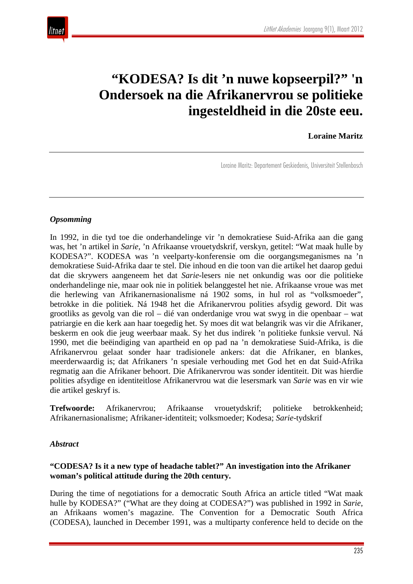# **"KODESA? Is dit 'n nuwe kopseerpil?" 'n Ondersoek na die Afrikanervrou se politieke ingesteldheid in die 20ste eeu.**

#### **Loraine Maritz**

Loraine Maritz: Departement Geskiedenis, Universiteit Stellenbosch

#### *Opsomming*

In 1992, in die tyd toe die onderhandelinge vir 'n demokratiese Suid-Afrika aan die gang was, het 'n artikel in *Sarie*, 'n Afrikaanse vrouetydskrif, verskyn, getitel: "Wat maak hulle by KODESA?". KODESA was 'n veelparty-konferensie om die oorgangsmeganismes na 'n demokratiese Suid-Afrika daar te stel. Die inhoud en die toon van die artikel het daarop gedui dat die skrywers aangeneem het dat *Sarie*-lesers nie net onkundig was oor die politieke onderhandelinge nie, maar ook nie in politiek belanggestel het nie. Afrikaanse vroue was met die herlewing van Afrikanernasionalisme ná 1902 soms, in hul rol as "volksmoeder", betrokke in die politiek. Ná 1948 het die Afrikanervrou polities afsydig geword. Dit was grootliks as gevolg van die rol – dié van onderdanige vrou wat swyg in die openbaar – wat patriargie en die kerk aan haar toegedig het. Sy moes dit wat belangrik was vir die Afrikaner, beskerm en ook die jeug weerbaar maak. Sy het dus indirek 'n politieke funksie vervul. Ná 1990, met die beëindiging van apartheid en op pad na 'n demokratiese Suid-Afrika, is die Afrikanervrou gelaat sonder haar tradisionele ankers: dat die Afrikaner, en blankes, meerderwaardig is; dat Afrikaners 'n spesiale verhouding met God het en dat Suid-Afrika regmatig aan die Afrikaner behoort. Die Afrikanervrou was sonder identiteit. Dit was hierdie polities afsydige en identiteitlose Afrikanervrou wat die lesersmark van *Sarie* was en vir wie die artikel geskryf is.

**Trefwoorde:** Afrikanervrou; Afrikaanse vrouetydskrif; politieke betrokkenheid; Afrikanernasionalisme; Afrikaner-identiteit; volksmoeder; Kodesa; *Sarie*-tydskrif

#### *Abstract*

#### **"CODESA? Is it a new type of headache tablet?" An investigation into the Afrikaner woman's political attitude during the 20th century.**

During the time of negotiations for a democratic South Africa an article titled "Wat maak hulle by KODESA?" ("What are they doing at CODESA?") was published in 1992 in *Sarie*, an Afrikaans women's magazine. The Convention for a Democratic South Africa (CODESA), launched in December 1991, was a multiparty conference held to decide on the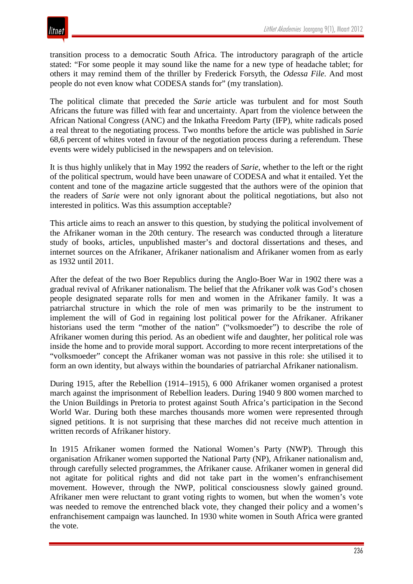transition process to a democratic South Africa. The introductory paragraph of the article stated: "For some people it may sound like the name for a new type of headache tablet; for others it may remind them of the thriller by Frederick Forsyth, the *Odessa File*. And most people do not even know what CODESA stands for" (my translation).

The political climate that preceded the *Sarie* article was turbulent and for most South Africans the future was filled with fear and uncertainty. Apart from the violence between the African National Congress (ANC) and the Inkatha Freedom Party (IFP), white radicals posed a real threat to the negotiating process. Two months before the article was published in *Sarie* 68,6 percent of whites voted in favour of the negotiation process during a referendum. These events were widely publicised in the newspapers and on television.

It is thus highly unlikely that in May 1992 the readers of *Sarie*, whether to the left or the right of the political spectrum, would have been unaware of CODESA and what it entailed. Yet the content and tone of the magazine article suggested that the authors were of the opinion that the readers of *Sarie* were not only ignorant about the political negotiations, but also not interested in politics. Was this assumption acceptable?

This article aims to reach an answer to this question, by studying the political involvement of the Afrikaner woman in the 20th century. The research was conducted through a literature study of books, articles, unpublished master's and doctoral dissertations and theses, and internet sources on the Afrikaner, Afrikaner nationalism and Afrikaner women from as early as 1932 until 2011.

After the defeat of the two Boer Republics during the Anglo-Boer War in 1902 there was a gradual revival of Afrikaner nationalism. The belief that the Afrikaner *volk* was God's chosen people designated separate rolls for men and women in the Afrikaner family. It was a patriarchal structure in which the role of men was primarily to be the instrument to implement the will of God in regaining lost political power for the Afrikaner. Afrikaner historians used the term "mother of the nation" ("volksmoeder") to describe the role of Afrikaner women during this period. As an obedient wife and daughter, her political role was inside the home and to provide moral support. According to more recent interpretations of the "volksmoeder" concept the Afrikaner woman was not passive in this role: she utilised it to form an own identity, but always within the boundaries of patriarchal Afrikaner nationalism.

During 1915, after the Rebellion (1914–1915), 6 000 Afrikaner women organised a protest march against the imprisonment of Rebellion leaders. During 1940 9 800 women marched to the Union Buildings in Pretoria to protest against South Africa's participation in the Second World War. During both these marches thousands more women were represented through signed petitions. It is not surprising that these marches did not receive much attention in written records of Afrikaner history.

In 1915 Afrikaner women formed the National Women's Party (NWP). Through this organisation Afrikaner women supported the National Party (NP), Afrikaner nationalism and, through carefully selected programmes, the Afrikaner cause. Afrikaner women in general did not agitate for political rights and did not take part in the women's enfranchisement movement. However, through the NWP, political consciousness slowly gained ground. Afrikaner men were reluctant to grant voting rights to women, but when the women's vote was needed to remove the entrenched black vote, they changed their policy and a women's enfranchisement campaign was launched. In 1930 white women in South Africa were granted the vote.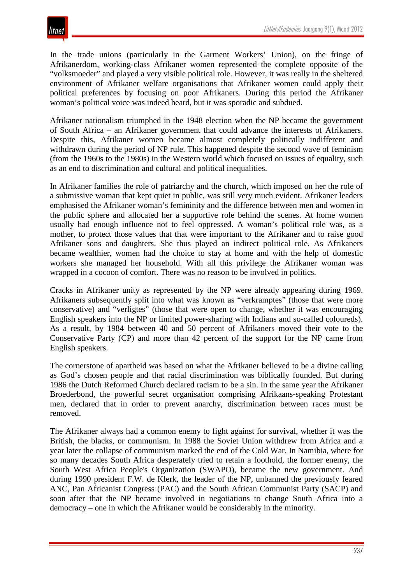

In the trade unions (particularly in the Garment Workers' Union), on the fringe of Afrikanerdom, working-class Afrikaner women represented the complete opposite of the "volksmoeder" and played a very visible political role. However, it was really in the sheltered environment of Afrikaner welfare organisations that Afrikaner women could apply their political preferences by focusing on poor Afrikaners. During this period the Afrikaner woman's political voice was indeed heard, but it was sporadic and subdued.

Afrikaner nationalism triumphed in the 1948 election when the NP became the government of South Africa – an Afrikaner government that could advance the interests of Afrikaners. Despite this, Afrikaner women became almost completely politically indifferent and withdrawn during the period of NP rule. This happened despite the second wave of feminism (from the 1960s to the 1980s) in the Western world which focused on issues of equality, such as an end to discrimination and cultural and political inequalities.

In Afrikaner families the role of patriarchy and the church, which imposed on her the role of a submissive woman that kept quiet in public, was still very much evident. Afrikaner leaders emphasised the Afrikaner woman's femininity and the difference between men and women in the public sphere and allocated her a supportive role behind the scenes. At home women usually had enough influence not to feel oppressed. A woman's political role was, as a mother, to protect those values that that were important to the Afrikaner and to raise good Afrikaner sons and daughters. She thus played an indirect political role. As Afrikaners became wealthier, women had the choice to stay at home and with the help of domestic workers she managed her household. With all this privilege the Afrikaner woman was wrapped in a cocoon of comfort. There was no reason to be involved in politics.

Cracks in Afrikaner unity as represented by the NP were already appearing during 1969. Afrikaners subsequently split into what was known as "verkramptes" (those that were more conservative) and "verligtes" (those that were open to change, whether it was encouraging English speakers into the NP or limited power-sharing with Indians and so-called coloureds). As a result, by 1984 between 40 and 50 percent of Afrikaners moved their vote to the Conservative Party (CP) and more than 42 percent of the support for the NP came from English speakers.

The cornerstone of apartheid was based on what the Afrikaner believed to be a divine calling as God's chosen people and that racial discrimination was biblically founded. But during 1986 the Dutch Reformed Church declared racism to be a sin. In the same year the Afrikaner Broederbond, the powerful secret organisation comprising Afrikaans-speaking Protestant men, declared that in order to prevent anarchy, discrimination between races must be removed.

The Afrikaner always had a common enemy to fight against for survival, whether it was the British, the blacks, or communism. In 1988 the Soviet Union withdrew from Africa and a year later the collapse of communism marked the end of the Cold War. In Namibia, where for so many decades South Africa desperately tried to retain a foothold, the former enemy, the South West Africa People's Organization (SWAPO), became the new government. And during 1990 president F.W. de Klerk, the leader of the NP, unbanned the previously feared ANC, Pan Africanist Congress (PAC) and the South African Communist Party (SACP) and soon after that the NP became involved in negotiations to change South Africa into a democracy – one in which the Afrikaner would be considerably in the minority.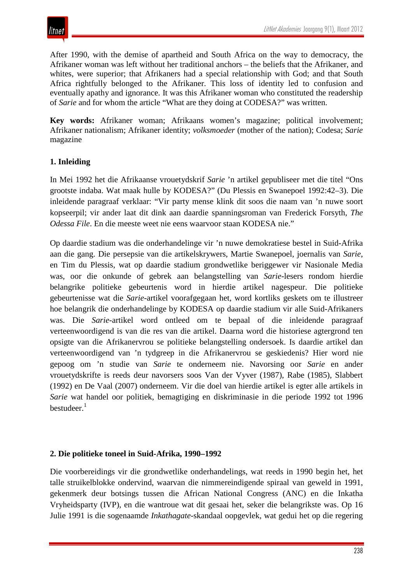After 1990, with the demise of apartheid and South Africa on the way to democracy, the Afrikaner woman was left without her traditional anchors – the beliefs that the Afrikaner, and whites, were superior; that Afrikaners had a special relationship with God; and that South Africa rightfully belonged to the Afrikaner. This loss of identity led to confusion and eventually apathy and ignorance. It was this Afrikaner woman who constituted the readership of *Sarie* and for whom the article "What are they doing at CODESA?" was written.

**Key words:** Afrikaner woman; Afrikaans women's magazine; political involvement; Afrikaner nationalism; Afrikaner identity; *volksmoeder* (mother of the nation); Codesa; *Sarie* magazine

## **1. Inleiding**

In Mei 1992 het die Afrikaanse vrouetydskrif *Sarie* 'n artikel gepubliseer met die titel "Ons grootste indaba. Wat maak hulle by KODESA?" (Du Plessis en Swanepoel 1992:42–3). Die inleidende paragraaf verklaar: "Vir party mense klink dit soos die naam van 'n nuwe soort kopseerpil; vir ander laat dit dink aan daardie spanningsroman van Frederick Forsyth, *The Odessa File*. En die meeste weet nie eens waarvoor staan KODESA nie."

Op daardie stadium was die onderhandelinge vir 'n nuwe demokratiese bestel in Suid-Afrika aan die gang. Die persepsie van die artikelskrywers, Martie Swanepoel, joernalis van *Sarie*, en Tim du Plessis, wat op daardie stadium grondwetlike beriggewer vir Nasionale Media was, oor die onkunde of gebrek aan belangstelling van *Sarie*-lesers rondom hierdie belangrike politieke gebeurtenis word in hierdie artikel nagespeur. Die politieke gebeurtenisse wat die *Sarie-*artikel voorafgegaan het, word kortliks geskets om te illustreer hoe belangrik die onderhandelinge by KODESA op daardie stadium vir alle Suid-Afrikaners was. Die *Sarie*-artikel word ontleed om te bepaal of die inleidende paragraaf verteenwoordigend is van die res van die artikel. Daarna word die historiese agtergrond ten opsigte van die Afrikanervrou se politieke belangstelling ondersoek. Is daardie artikel dan verteenwoordigend van 'n tydgreep in die Afrikanervrou se geskiedenis? Hier word nie gepoog om 'n studie van *Sarie* te onderneem nie. Navorsing oor *Sarie* en ander vrouetydskrifte is reeds deur navorsers soos Van der Vyver (1987), Rabe (1985), Slabbert (1992) en De Vaal (2007) onderneem. Vir die doel van hierdie artikel is egter alle artikels in *Sarie* wat handel oor politiek, bemagtiging en diskriminasie in die periode 1992 tot 1996 bestudeer. $1$ 

## **2. Die politieke toneel in Suid-Afrika, 1990–1992**

Die voorbereidings vir die grondwetlike onderhandelings, wat reeds in 1990 begin het, het talle struikelblokke ondervind, waarvan die nimmereindigende spiraal van geweld in 1991, gekenmerk deur botsings tussen die African National Congress (ANC) en die Inkatha Vryheidsparty (IVP), en die wantroue wat dit gesaai het, seker die belangrikste was. Op 16 Julie 1991 is die sogenaamde *Inkathagate*-skandaal oopgevlek, wat gedui het op die regering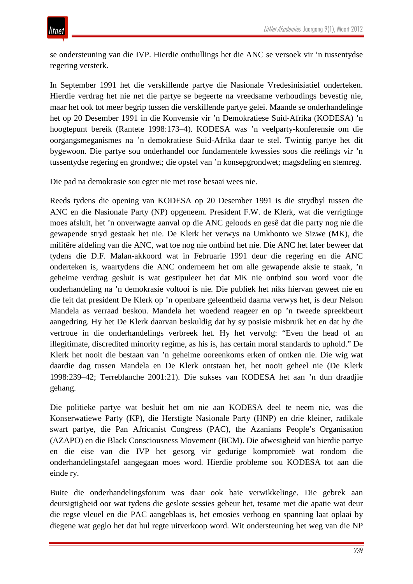se ondersteuning van die IVP. Hierdie onthullings het die ANC se versoek vir 'n tussentydse regering versterk.

In September 1991 het die verskillende partye die Nasionale Vredesinisiatief onderteken. Hierdie verdrag het nie net die partye se begeerte na vreedsame verhoudings bevestig nie, maar het ook tot meer begrip tussen die verskillende partye gelei. Maande se onderhandelinge het op 20 Desember 1991 in die Konvensie vir 'n Demokratiese Suid-Afrika (KODESA) 'n hoogtepunt bereik (Rantete 1998:173–4). KODESA was 'n veelparty-konferensie om die oorgangsmeganismes na 'n demokratiese Suid-Afrika daar te stel. Twintig partye het dit bygewoon. Die partye sou onderhandel oor fundamentele kwessies soos die reëlings vir 'n tussentydse regering en grondwet; die opstel van 'n konsepgrondwet; magsdeling en stemreg.

Die pad na demokrasie sou egter nie met rose besaai wees nie.

Reeds tydens die opening van KODESA op 20 Desember 1991 is die strydbyl tussen die ANC en die Nasionale Party (NP) opgeneem. President F.W. de Klerk, wat die verrigtinge moes afsluit, het 'n onverwagte aanval op die ANC geloods en gesê dat die party nog nie die gewapende stryd gestaak het nie. De Klerk het verwys na Umkhonto we Sizwe (MK), die militêre afdeling van die ANC, wat toe nog nie ontbind het nie. Die ANC het later beweer dat tydens die D.F. Malan-akkoord wat in Februarie 1991 deur die regering en die ANC onderteken is, waartydens die ANC onderneem het om alle gewapende aksie te staak, 'n geheime verdrag gesluit is wat gestipuleer het dat MK nie ontbind sou word voor die onderhandeling na 'n demokrasie voltooi is nie. Die publiek het niks hiervan geweet nie en die feit dat president De Klerk op 'n openbare geleentheid daarna verwys het, is deur Nelson Mandela as verraad beskou. Mandela het woedend reageer en op 'n tweede spreekbeurt aangedring. Hy het De Klerk daarvan beskuldig dat hy sy posisie misbruik het en dat hy die vertroue in die onderhandelings verbreek het. Hy het vervolg: "Even the head of an illegitimate, discredited minority regime, as his is, has certain moral standards to uphold." De Klerk het nooit die bestaan van 'n geheime ooreenkoms erken of ontken nie. Die wig wat daardie dag tussen Mandela en De Klerk ontstaan het, het nooit geheel nie (De Klerk 1998:239–42; Terreblanche 2001:21). Die sukses van KODESA het aan 'n dun draadjie gehang.

Die politieke partye wat besluit het om nie aan KODESA deel te neem nie, was die Konserwatiewe Party (KP), die Herstigte Nasionale Party (HNP) en drie kleiner, radikale swart partye, die Pan Africanist Congress (PAC), the Azanians People's Organisation (AZAPO) en die Black Consciousness Movement (BCM). Die afwesigheid van hierdie partye en die eise van die IVP het gesorg vir gedurige kompromieë wat rondom die onderhandelingstafel aangegaan moes word. Hierdie probleme sou KODESA tot aan die einde ry.

Buite die onderhandelingsforum was daar ook baie verwikkelinge. Die gebrek aan deursigtigheid oor wat tydens die geslote sessies gebeur het, tesame met die apatie wat deur die regse vleuel en die PAC aangeblaas is, het emosies verhoog en spanning laat oplaai by diegene wat geglo het dat hul regte uitverkoop word. Wit ondersteuning het weg van die NP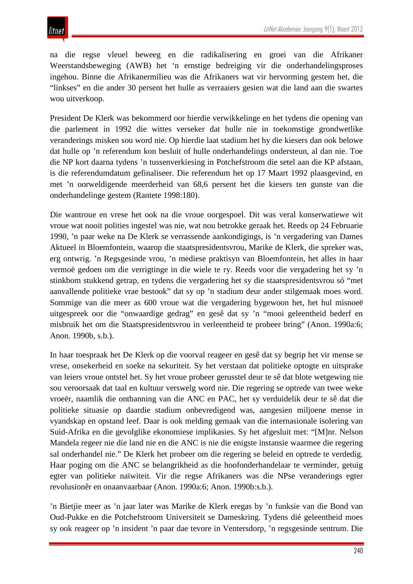na die regse vleuel beweeg en die radikalisering en groei van die Afrikaner Weerstandsbeweging (AWB) het 'n ernstige bedreiging vir die onderhandelingsproses ingehou. Binne die Afrikanermilieu was die Afrikaners wat vir hervorming gestem het, die "linkses" en die ander 30 persent het hulle as verraaiers gesien wat die land aan die swartes wou uitverkoop.

President De Klerk was bekommerd oor hierdie verwikkelinge en het tydens die opening van die parlement in 1992 die wittes verseker dat hulle nie in toekomstige grondwetlike veranderings misken sou word nie. Op hierdie laat stadium het hy die kiesers dan ook belowe dat hulle op 'n referendum kon besluit of hulle onderhandelings ondersteun, al dan nie. Toe die NP kort daarna tydens 'n tussenverkiesing in Potchefstroom die setel aan die KP afstaan, is die referendumdatum gefinaliseer. Die referendum het op 17 Maart 1992 plaasgevind, en met 'n oorweldigende meerderheid van 68,6 persent het die kiesers ten gunste van die onderhandelinge gestem (Rantete 1998:180).

Die wantroue en vrese het ook na die vroue oorgespoel. Dit was veral konserwatiewe wit vroue wat nooit polities ingestel was nie, wat nou betrokke geraak het. Reeds op 24 Februarie 1990, 'n paar weke na De Klerk se verrassende aankondigings, is 'n vergadering van Dames Aktueel in Bloemfontein, waarop die staatspresidentsvrou, Marike de Klerk, die spreker was, erg ontwrig. 'n Regsgesinde vrou, 'n mediese praktisyn van Bloemfontein, het alles in haar vermoë gedoen om die verrigtinge in die wiele te ry. Reeds voor die vergadering het sy 'n stinkbom stukkend getrap, en tydens die vergadering het sy die staatspresidentsvrou só "met aanvallende politieke vrae bestook" dat sy op 'n stadium deur ander stilgemaak moes word. Sommige van die meer as 600 vroue wat die vergadering bygewoon het, het hul misnoeë uitgespreek oor die "onwaardige gedrag" en gesê dat sy 'n "mooi geleentheid bederf en misbruik het om die Staatspresidentsvrou in verleentheid te probeer bring" (Anon. 1990a:6; Anon. 1990b, s.b.).

In haar toespraak het De Klerk op die voorval reageer en gesê dat sy begrip het vir mense se vrese, onsekerheid en soeke na sekuriteit. Sy het verstaan dat politieke optogte en uitsprake van leiers vroue ontstel het. Sy het vroue probeer gerusstel deur te sê dat blote wetgewing nie sou veroorsaak dat taal en kultuur verswelg word nie. Die regering se optrede van twee weke vroeër, naamlik die ontbanning van die ANC en PAC, het sy verduidelik deur te sê dat die politieke situasie op daardie stadium onbevredigend was, aangesien miljoene mense in vyandskap en opstand leef. Daar is ook melding gemaak van die internasionale isolering van Suid-Afrika en die gevolglike ekonomiese implikasies. Sy het afgesluit met: "[M]nr. Nelson Mandela regeer nie die land nie en die ANC is nie die enigste instansie waarmee die regering sal onderhandel nie." De Klerk het probeer om die regering se beleid en optrede te verdedig. Haar poging om die ANC se belangrikheid as die hoofonderhandelaar te verminder, getuig egter van politieke naïwiteit. Vir die regse Afrikaners was die NPse veranderings egter revolusionêr en onaanvaarbaar (Anon. 1990a:6; Anon. 1990b:s.b.).

'n Bietjie meer as 'n jaar later was Marike de Klerk eregas by 'n funksie van die Bond van Oud-Pukke en die Potchefstroom Universiteit se Dameskring. Tydens dié geleentheid moes sy ook reageer op 'n insident 'n paar dae tevore in Ventersdorp, 'n regsgesinde sentrum. Die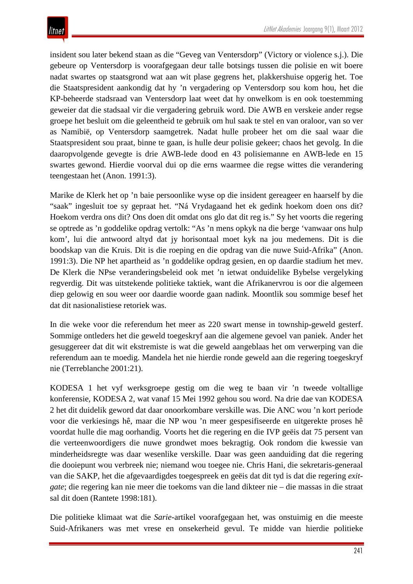insident sou later bekend staan as die "Geveg van Ventersdorp" (Victory or violence s.j.). Die gebeure op Ventersdorp is voorafgegaan deur talle botsings tussen die polisie en wit boere nadat swartes op staatsgrond wat aan wit plase gegrens het, plakkershuise opgerig het. Toe die Staatspresident aankondig dat hy 'n vergadering op Ventersdorp sou kom hou, het die KP-beheerde stadsraad van Ventersdorp laat weet dat hy onwelkom is en ook toestemming geweier dat die stadsaal vir die vergadering gebruik word. Die AWB en verskeie ander regse groepe het besluit om die geleentheid te gebruik om hul saak te stel en van oraloor, van so ver as Namibië, op Ventersdorp saamgetrek. Nadat hulle probeer het om die saal waar die Staatspresident sou praat, binne te gaan, is hulle deur polisie gekeer; chaos het gevolg. In die daaropvolgende gevegte is drie AWB-lede dood en 43 polisiemanne en AWB-lede en 15 swartes gewond. Hierdie voorval dui op die erns waarmee die regse wittes die verandering teengestaan het (Anon. 1991:3).

Marike de Klerk het op 'n baie persoonlike wyse op die insident gereageer en haarself by die "saak" ingesluit toe sy gepraat het. "Ná Vrydagaand het ek gedink hoekom doen ons dit? Hoekom verdra ons dit? Ons doen dit omdat ons glo dat dit reg is." Sy het voorts die regering se optrede as 'n goddelike opdrag vertolk: "As 'n mens opkyk na die berge 'vanwaar ons hulp kom', lui die antwoord altyd dat jy horisontaal moet kyk na jou medemens. Dit is die boodskap van die Kruis. Dit is die roeping en die opdrag van die nuwe Suid-Afrika" (Anon. 1991:3). Die NP het apartheid as 'n goddelike opdrag gesien, en op daardie stadium het mev. De Klerk die NPse veranderingsbeleid ook met 'n ietwat onduidelike Bybelse vergelyking regverdig. Dit was uitstekende politieke taktiek, want die Afrikanervrou is oor die algemeen diep gelowig en sou weer oor daardie woorde gaan nadink. Moontlik sou sommige besef het dat dit nasionalistiese retoriek was.

In die weke voor die referendum het meer as 220 swart mense in township-geweld gesterf. Sommige ontleders het die geweld toegeskryf aan die algemene gevoel van paniek. Ander het gesuggereer dat dit wit ekstremiste is wat die geweld aangeblaas het om verwerping van die referendum aan te moedig. Mandela het nie hierdie ronde geweld aan die regering toegeskryf nie (Terreblanche 2001:21).

KODESA 1 het vyf werksgroepe gestig om die weg te baan vir 'n tweede voltallige konferensie, KODESA 2, wat vanaf 15 Mei 1992 gehou sou word. Na drie dae van KODESA 2 het dit duidelik geword dat daar onoorkombare verskille was. Die ANC wou 'n kort periode voor die verkiesings hê, maar die NP wou 'n meer gespesifiseerde en uitgerekte proses hê voordat hulle die mag oorhandig. Voorts het die regering en die IVP geëis dat 75 persent van die verteenwoordigers die nuwe grondwet moes bekragtig. Ook rondom die kwessie van minderheidsregte was daar wesenlike verskille. Daar was geen aanduiding dat die regering die dooiepunt wou verbreek nie; niemand wou toegee nie. Chris Hani, die sekretaris-generaal van die SAKP, het die afgevaardigdes toegespreek en geëis dat dit tyd is dat die regering *exitgate*; die regering kan nie meer die toekoms van die land dikteer nie – die massas in die straat sal dit doen (Rantete 1998:181).

Die politieke klimaat wat die *Sarie*-artikel voorafgegaan het, was onstuimig en die meeste Suid-Afrikaners was met vrese en onsekerheid gevul. Te midde van hierdie politieke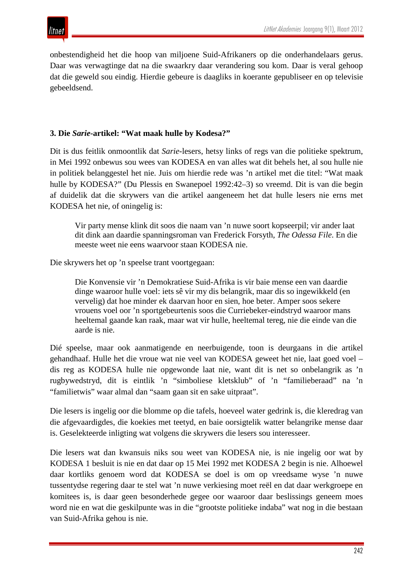onbestendigheid het die hoop van miljoene Suid-Afrikaners op die onderhandelaars gerus. Daar was verwagtinge dat na die swaarkry daar verandering sou kom. Daar is veral gehoop dat die geweld sou eindig. Hierdie gebeure is daagliks in koerante gepubliseer en op televisie gebeeldsend.

#### **3. Die** *Sarie***-artikel: "Wat maak hulle by Kodesa?"**

Dit is dus feitlik onmoontlik dat *Sarie-*lesers, hetsy links of regs van die politieke spektrum, in Mei 1992 onbewus sou wees van KODESA en van alles wat dit behels het, al sou hulle nie in politiek belanggestel het nie. Juis om hierdie rede was 'n artikel met die titel: "Wat maak hulle by KODESA?" (Du Plessis en Swanepoel 1992:42–3) so vreemd. Dit is van die begin af duidelik dat die skrywers van die artikel aangeneem het dat hulle lesers nie erns met KODESA het nie, of oningelig is:

Vir party mense klink dit soos die naam van 'n nuwe soort kopseerpil; vir ander laat dit dink aan daardie spanningsroman van Frederick Forsyth, *The Odessa File*. En die meeste weet nie eens waarvoor staan KODESA nie.

Die skrywers het op 'n speelse trant voortgegaan:

Die Konvensie vir 'n Demokratiese Suid-Afrika is vir baie mense een van daardie dinge waaroor hulle voel: iets sê vir my dis belangrik, maar dis so ingewikkeld (en vervelig) dat hoe minder ek daarvan hoor en sien, hoe beter. Amper soos sekere vrouens voel oor 'n sportgebeurtenis soos die Curriebeker-eindstryd waaroor mans heeltemal gaande kan raak, maar wat vir hulle, heeltemal tereg, nie die einde van die aarde is nie.

Dié speelse, maar ook aanmatigende en neerbuigende, toon is deurgaans in die artikel gehandhaaf. Hulle het die vroue wat nie veel van KODESA geweet het nie, laat goed voel – dis reg as KODESA hulle nie opgewonde laat nie, want dit is net so onbelangrik as 'n rugbywedstryd, dit is eintlik 'n "simboliese kletsklub" of 'n "familieberaad" na 'n "familietwis" waar almal dan "saam gaan sit en sake uitpraat".

Die lesers is ingelig oor die blomme op die tafels, hoeveel water gedrink is, die kleredrag van die afgevaardigdes, die koekies met teetyd, en baie oorsigtelik watter belangrike mense daar is. Geselekteerde inligting wat volgens die skrywers die lesers sou interesseer.

Die lesers wat dan kwansuis niks sou weet van KODESA nie, is nie ingelig oor wat by KODESA 1 besluit is nie en dat daar op 15 Mei 1992 met KODESA 2 begin is nie. Alhoewel daar kortliks genoem word dat KODESA se doel is om op vreedsame wyse 'n nuwe tussentydse regering daar te stel wat 'n nuwe verkiesing moet reël en dat daar werkgroepe en komitees is, is daar geen besonderhede gegee oor waaroor daar beslissings geneem moes word nie en wat die geskilpunte was in die "grootste politieke indaba" wat nog in die bestaan van Suid-Afrika gehou is nie.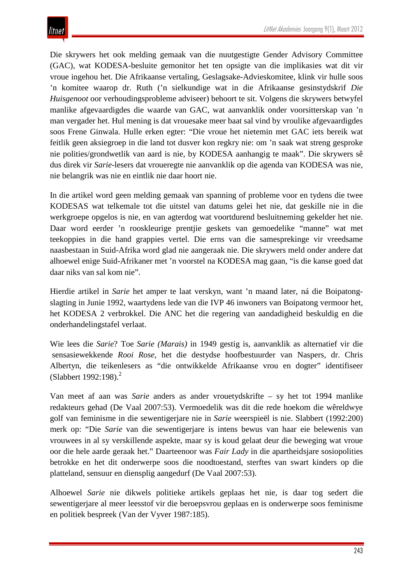Die skrywers het ook melding gemaak van die nuutgestigte Gender Advisory Committee (GAC), wat KODESA-besluite gemonitor het ten opsigte van die implikasies wat dit vir vroue ingehou het. Die Afrikaanse vertaling, Geslagsake-Advieskomitee, klink vir hulle soos 'n komitee waarop dr. Ruth ('n sielkundige wat in die Afrikaanse gesinstydskrif *Die Huisgenoot* oor verhoudingsprobleme adviseer) behoort te sit. Volgens die skrywers betwyfel manlike afgevaardigdes die waarde van GAC, wat aanvanklik onder voorsitterskap van 'n man vergader het. Hul mening is dat vrouesake meer baat sal vind by vroulike afgevaardigdes soos Frene Ginwala. Hulle erken egter: "Die vroue het nietemin met GAC iets bereik wat feitlik geen aksiegroep in die land tot dusver kon regkry nie: om 'n saak wat streng gesproke nie polities/grondwetlik van aard is nie, by KODESA aanhangig te maak". Die skrywers sê dus direk vir *Sarie*-lesers dat vroueregte nie aanvanklik op die agenda van KODESA was nie, nie belangrik was nie en eintlik nie daar hoort nie.

In die artikel word geen melding gemaak van spanning of probleme voor en tydens die twee KODESAS wat telkemale tot die uitstel van datums gelei het nie, dat geskille nie in die werkgroepe opgelos is nie, en van agterdog wat voortdurend besluitneming gekelder het nie. Daar word eerder 'n rooskleurige prentjie geskets van gemoedelike "manne" wat met teekoppies in die hand grappies vertel. Die erns van die samesprekinge vir vreedsame naasbestaan in Suid-Afrika word glad nie aangeraak nie. Die skrywers meld onder andere dat alhoewel enige Suid-Afrikaner met 'n voorstel na KODESA mag gaan, "is die kanse goed dat daar niks van sal kom nie".

Hierdie artikel in *Sarie* het amper te laat verskyn, want 'n maand later, ná die Boipatongslagting in Junie 1992, waartydens lede van die IVP 46 inwoners van Boipatong vermoor het, het KODESA 2 verbrokkel. Die ANC het die regering van aandadigheid beskuldig en die onderhandelingstafel verlaat.

Wie lees die *Sarie*? Toe *Sarie (Marais)* in 1949 gestig is, aanvanklik as alternatief vir die sensasiewekkende *Rooi Rose*, het die destydse hoofbestuurder van Naspers, dr. Chris Albertyn, die teikenlesers as "die ontwikkelde Afrikaanse vrou en dogter" identifiseer (Slabbert 1992:198).<sup>2</sup>

Van meet af aan was *Sarie* anders as ander vrouetydskrifte – sy het tot 1994 manlike redakteurs gehad (De Vaal 2007:53). Vermoedelik was dit die rede hoekom die wêreldwye golf van feminisme in die sewentigerjare nie in *Sarie* weerspieël is nie. Slabbert (1992:200) merk op: "Die *Sarie* van die sewentigerjare is intens bewus van haar eie belewenis van vrouwees in al sy verskillende aspekte, maar sy is koud gelaat deur die beweging wat vroue oor die hele aarde geraak het." Daarteenoor was *Fair Lady* in die apartheidsjare sosiopolities betrokke en het dit onderwerpe soos die noodtoestand, sterftes van swart kinders op die platteland, sensuur en diensplig aangedurf (De Vaal 2007:53).

Alhoewel *Sarie* nie dikwels politieke artikels geplaas het nie, is daar tog sedert die sewentigerjare al meer leesstof vir die beroepsvrou geplaas en is onderwerpe soos feminisme en politiek bespreek (Van der Vyver 1987:185).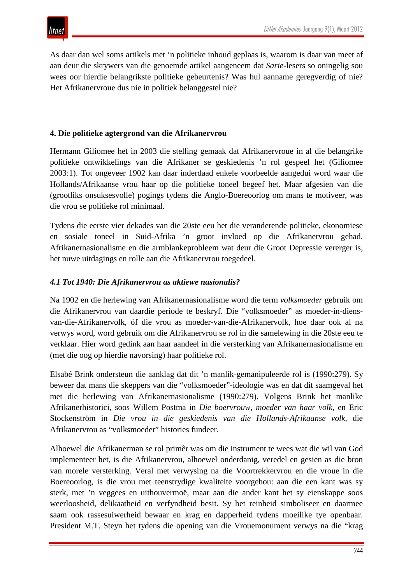

As daar dan wel soms artikels met 'n politieke inhoud geplaas is, waarom is daar van meet af aan deur die skrywers van die genoemde artikel aangeneem dat *Sarie-*lesers so oningelig sou wees oor hierdie belangrikste politieke gebeurtenis? Was hul aanname geregverdig of nie? Het Afrikanervroue dus nie in politiek belanggestel nie?

#### **4. Die politieke agtergrond van die Afrikanervrou**

Hermann Giliomee het in 2003 die stelling gemaak dat Afrikanervroue in al die belangrike politieke ontwikkelings van die Afrikaner se geskiedenis 'n rol gespeel het (Giliomee 2003:1). Tot ongeveer 1902 kan daar inderdaad enkele voorbeelde aangedui word waar die Hollands/Afrikaanse vrou haar op die politieke toneel begeef het. Maar afgesien van die (grootliks onsuksesvolle) pogings tydens die Anglo-Boereoorlog om mans te motiveer, was die vrou se politieke rol minimaal.

Tydens die eerste vier dekades van die 20ste eeu het die veranderende politieke, ekonomiese en sosiale toneel in Suid-Afrika 'n groot invloed op die Afrikanervrou gehad. Afrikanernasionalisme en die armblankeprobleem wat deur die Groot Depressie vererger is, het nuwe uitdagings en rolle aan die Afrikanervrou toegedeel.

## *4.1 Tot 1940: Die Afrikanervrou as aktiewe nasionalis?*

Na 1902 en die herlewing van Afrikanernasionalisme word die term *volksmoeder* gebruik om die Afrikanervrou van daardie periode te beskryf. Die "volksmoeder" as moeder-in-diensvan-die-Afrikanervolk, óf die vrou as moeder-van-die-Afrikanervolk, hoe daar ook al na verwys word, word gebruik om die Afrikanervrou se rol in die samelewing in die 20ste eeu te verklaar. Hier word gedink aan haar aandeel in die versterking van Afrikanernasionalisme en (met die oog op hierdie navorsing) haar politieke rol.

Elsabé Brink ondersteun die aanklag dat dit 'n manlik-gemanipuleerde rol is (1990:279). Sy beweer dat mans die skeppers van die "volksmoeder"-ideologie was en dat dit saamgeval het met die herlewing van Afrikanernasionalisme (1990:279). Volgens Brink het manlike Afrikanerhistorici, soos Willem Postma in *Die boervrouw, moeder van haar volk,* en Eric Stockenström in *Die vrou in die geskiedenis van die Hollands-Afrikaanse volk*, die Afrikanervrou as "volksmoeder" histories fundeer.

Alhoewel die Afrikanerman se rol primêr was om die instrument te wees wat die wil van God implementeer het, is die Afrikanervrou, alhoewel onderdanig, veredel en gesien as die bron van morele versterking. Veral met verwysing na die Voortrekkervrou en die vroue in die Boereoorlog, is die vrou met teenstrydige kwaliteite voorgehou: aan die een kant was sy sterk, met 'n veggees en uithouvermoë, maar aan die ander kant het sy eienskappe soos weerloosheid, delikaatheid en verfyndheid besit. Sy het reinheid simboliseer en daarmee saam ook rassesuiwerheid bewaar en krag en dapperheid tydens moeilike tye openbaar. President M.T. Steyn het tydens die opening van die Vrouemonument verwys na die "krag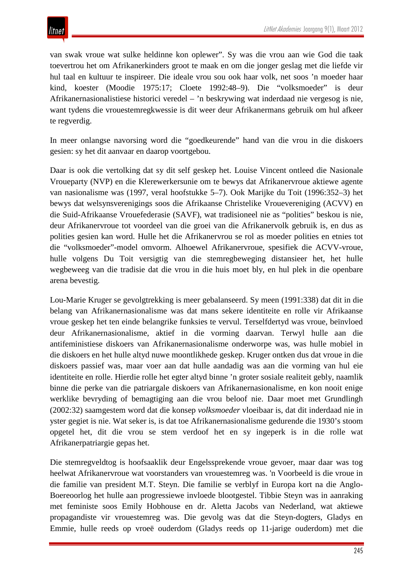van swak vroue wat sulke heldinne kon oplewer". Sy was die vrou aan wie God die taak toevertrou het om Afrikanerkinders groot te maak en om die jonger geslag met die liefde vir hul taal en kultuur te inspireer. Die ideale vrou sou ook haar volk, net soos 'n moeder haar kind, koester (Moodie 1975:17; Cloete 1992:48–9). Die "volksmoeder" is deur Afrikanernasionalistiese historici veredel – 'n beskrywing wat inderdaad nie vergesog is nie, want tydens die vrouestemregkwessie is dit weer deur Afrikanermans gebruik om hul afkeer te regverdig.

In meer onlangse navorsing word die "goedkeurende" hand van die vrou in die diskoers gesien: sy het dit aanvaar en daarop voortgebou.

Daar is ook die vertolking dat sy dit self geskep het. Louise Vincent ontleed die Nasionale Vroueparty (NVP) en die Klerewerkersunie om te bewys dat Afrikanervroue aktiewe agente van nasionalisme was (1997, veral hoofstukke 5–7). Ook Marijke du Toit (1996:352–3) het bewys dat welsynsverenigings soos die Afrikaanse Christelike Vrouevereniging (ACVV) en die Suid-Afrikaanse Vrouefederasie (SAVF), wat tradisioneel nie as "polities" beskou is nie, deur Afrikanervroue tot voordeel van die groei van die Afrikanervolk gebruik is, en dus as polities gesien kan word. Hulle het die Afrikanervrou se rol as moeder polities en etnies tot die "volksmoeder"-model omvorm. Alhoewel Afrikanervroue, spesifiek die ACVV-vroue, hulle volgens Du Toit versigtig van die stemregbeweging distansieer het, het hulle wegbeweeg van die tradisie dat die vrou in die huis moet bly, en hul plek in die openbare arena bevestig.

Lou-Marie Kruger se gevolgtrekking is meer gebalanseerd. Sy meen (1991:338) dat dit in die belang van Afrikanernasionalisme was dat mans sekere identiteite en rolle vir Afrikaanse vroue geskep het ten einde belangrike funksies te vervul. Terselfdertyd was vroue, beïnvloed deur Afrikanernasionalisme, aktief in die vorming daarvan. Terwyl hulle aan die antifeministiese diskoers van Afrikanernasionalisme onderworpe was, was hulle mobiel in die diskoers en het hulle altyd nuwe moontlikhede geskep. Kruger ontken dus dat vroue in die diskoers passief was, maar voer aan dat hulle aandadig was aan die vorming van hul eie identiteite en rolle. Hierdie rolle het egter altyd binne 'n groter sosiale realiteit gebly, naamlik binne die perke van die patriargale diskoers van Afrikanernasionalisme, en kon nooit enige werklike bevryding of bemagtiging aan die vrou beloof nie. Daar moet met Grundlingh (2002:32) saamgestem word dat die konsep *volksmoeder* vloeibaar is, dat dit inderdaad nie in yster gegiet is nie. Wat seker is, is dat toe Afrikanernasionalisme gedurende die 1930's stoom opgetel het, dit die vrou se stem verdoof het en sy ingeperk is in die rolle wat Afrikanerpatriargie gepas het.

Die stemregveldtog is hoofsaaklik deur Engelssprekende vroue gevoer, maar daar was tog heelwat Afrikanervroue wat voorstanders van vrouestemreg was. 'n Voorbeeld is die vroue in die familie van president M.T. Steyn. Die familie se verblyf in Europa kort na die Anglo-Boereoorlog het hulle aan progressiewe invloede blootgestel. Tibbie Steyn was in aanraking met feministe soos Emily Hobhouse en dr. Aletta Jacobs van Nederland, wat aktiewe propagandiste vir vrouestemreg was. Die gevolg was dat die Steyn-dogters, Gladys en Emmie, hulle reeds op vroeë ouderdom (Gladys reeds op 11-jarige ouderdom) met die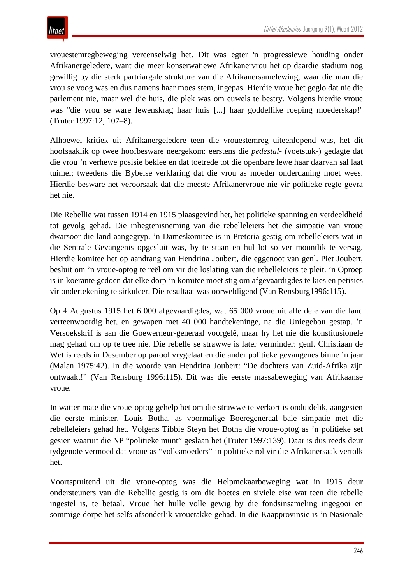vrouestemregbeweging vereenselwig het. Dit was egter 'n progressiewe houding onder Afrikanergeledere, want die meer konserwatiewe Afrikanervrou het op daardie stadium nog gewillig by die sterk partriargale strukture van die Afrikanersamelewing, waar die man die vrou se voog was en dus namens haar moes stem, ingepas. Hierdie vroue het geglo dat nie die parlement nie, maar wel die huis, die plek was om euwels te bestry. Volgens hierdie vroue was "die vrou se ware lewenskrag haar huis [...] haar goddellike roeping moederskap!" (Truter 1997:12, 107–8).

Alhoewel kritiek uit Afrikanergeledere teen die vrouestemreg uiteenlopend was, het dit hoofsaaklik op twee hoofbesware neergekom: eerstens die *pedestal*- (voetstuk-) gedagte dat die vrou 'n verhewe posisie beklee en dat toetrede tot die openbare lewe haar daarvan sal laat tuimel; tweedens die Bybelse verklaring dat die vrou as moeder onderdaning moet wees. Hierdie besware het veroorsaak dat die meeste Afrikanervroue nie vir politieke regte gevra het nie.

Die Rebellie wat tussen 1914 en 1915 plaasgevind het, het politieke spanning en verdeeldheid tot gevolg gehad. Die inhegtenisneming van die rebelleleiers het die simpatie van vroue dwarsoor die land aangegryp. 'n Dameskomitee is in Pretoria gestig om rebelleleiers wat in die Sentrale Gevangenis opgesluit was, by te staan en hul lot so ver moontlik te versag. Hierdie komitee het op aandrang van Hendrina Joubert, die eggenoot van genl. Piet Joubert, besluit om 'n vroue-optog te reël om vir die loslating van die rebelleleiers te pleit. 'n Oproep is in koerante gedoen dat elke dorp 'n komitee moet stig om afgevaardigdes te kies en petisies vir ondertekening te sirkuleer. Die resultaat was oorweldigend (Van Rensburg1996:115).

Op 4 Augustus 1915 het 6 000 afgevaardigdes, wat 65 000 vroue uit alle dele van die land verteenwoordig het, en gewapen met 40 000 handtekeninge, na die Uniegebou gestap. 'n Versoekskrif is aan die Goewerneur-generaal voorgelê, maar hy het nie die konstitusionele mag gehad om op te tree nie. Die rebelle se strawwe is later verminder: genl. Christiaan de Wet is reeds in Desember op parool vrygelaat en die ander politieke gevangenes binne 'n jaar (Malan 1975:42). In die woorde van Hendrina Joubert: "De dochters van Zuid-Afrika zijn ontwaakt!" (Van Rensburg 1996:115). Dit was die eerste massabeweging van Afrikaanse vroue.

In watter mate die vroue-optog gehelp het om die strawwe te verkort is onduidelik, aangesien die eerste minister, Louis Botha, as voormalige Boeregeneraal baie simpatie met die rebelleleiers gehad het. Volgens Tibbie Steyn het Botha die vroue-optog as 'n politieke set gesien waaruit die NP "politieke munt" geslaan het (Truter 1997:139). Daar is dus reeds deur tydgenote vermoed dat vroue as "volksmoeders" 'n politieke rol vir die Afrikanersaak vertolk het.

Voortspruitend uit die vroue-optog was die Helpmekaarbeweging wat in 1915 deur ondersteuners van die Rebellie gestig is om die boetes en siviele eise wat teen die rebelle ingestel is, te betaal. Vroue het hulle volle gewig by die fondsinsameling ingegooi en sommige dorpe het selfs afsonderlik vrouetakke gehad. In die Kaapprovinsie is 'n Nasionale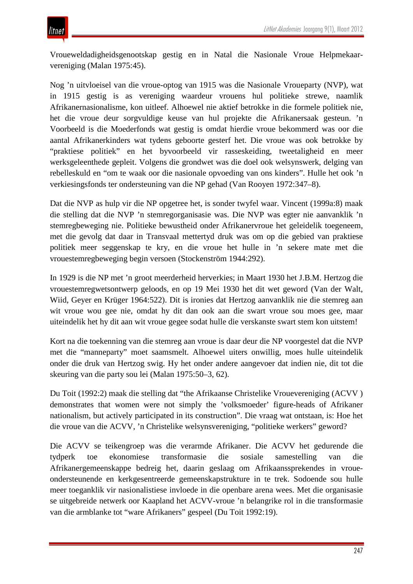Vroueweldadigheidsgenootskap gestig en in Natal die Nasionale Vroue Helpmekaarvereniging (Malan 1975:45).

Nog 'n uitvloeisel van die vroue-optog van 1915 was die Nasionale Vroueparty (NVP), wat in 1915 gestig is as vereniging waardeur vrouens hul politieke strewe, naamlik Afrikanernasionalisme, kon uitleef. Alhoewel nie aktief betrokke in die formele politiek nie, het die vroue deur sorgvuldige keuse van hul projekte die Afrikanersaak gesteun. 'n Voorbeeld is die Moederfonds wat gestig is omdat hierdie vroue bekommerd was oor die aantal Afrikanerkinders wat tydens geboorte gesterf het. Die vroue was ook betrokke by "praktiese politiek" en het byvoorbeeld vir rasseskeiding, tweetaligheid en meer werksgeleenthede gepleit. Volgens die grondwet was die doel ook welsynswerk, delging van rebelleskuld en "om te waak oor die nasionale opvoeding van ons kinders". Hulle het ook 'n verkiesingsfonds ter ondersteuning van die NP gehad (Van Rooyen 1972:347–8).

Dat die NVP as hulp vir die NP opgetree het, is sonder twyfel waar. Vincent (1999a:8) maak die stelling dat die NVP 'n stemregorganisasie was. Die NVP was egter nie aanvanklik 'n stemregbeweging nie. Politieke bewustheid onder Afrikanervroue het geleidelik toegeneem, met die gevolg dat daar in Transvaal mettertyd druk was om op die gebied van praktiese politiek meer seggenskap te kry, en die vroue het hulle in 'n sekere mate met die vrouestemregbeweging begin versoen (Stockenström 1944:292).

In 1929 is die NP met 'n groot meerderheid herverkies; in Maart 1930 het J.B.M. Hertzog die vrouestemregwetsontwerp geloods, en op 19 Mei 1930 het dit wet geword (Van der Walt, Wiid, Geyer en Krüger 1964:522). Dit is ironies dat Hertzog aanvanklik nie die stemreg aan wit vroue wou gee nie, omdat hy dit dan ook aan die swart vroue sou moes gee, maar uiteindelik het hy dit aan wit vroue gegee sodat hulle die verskanste swart stem kon uitstem!

Kort na die toekenning van die stemreg aan vroue is daar deur die NP voorgestel dat die NVP met die "manneparty" moet saamsmelt. Alhoewel uiters onwillig, moes hulle uiteindelik onder die druk van Hertzog swig. Hy het onder andere aangevoer dat indien nie, dit tot die skeuring van die party sou lei (Malan 1975:50–3, 62).

Du Toit (1992:2) maak die stelling dat "the Afrikaanse Christelike Vrouevereniging (ACVV ) demonstrates that women were not simply the 'volksmoeder' figure-heads of Afrikaner nationalism, but actively participated in its construction". Die vraag wat ontstaan, is: Hoe het die vroue van die ACVV, 'n Christelike welsynsvereniging, "politieke werkers" geword?

Die ACVV se teikengroep was die verarmde Afrikaner. Die ACVV het gedurende die tydperk toe ekonomiese transformasie die sosiale samestelling van die Afrikanergemeenskappe bedreig het, daarin geslaag om Afrikaanssprekendes in vroueondersteunende en kerkgesentreerde gemeenskapstrukture in te trek. Sodoende sou hulle meer toeganklik vir nasionalistiese invloede in die openbare arena wees. Met die organisasie se uitgebreide netwerk oor Kaapland het ACVV-vroue 'n belangrike rol in die transformasie van die armblanke tot "ware Afrikaners" gespeel (Du Toit 1992:19).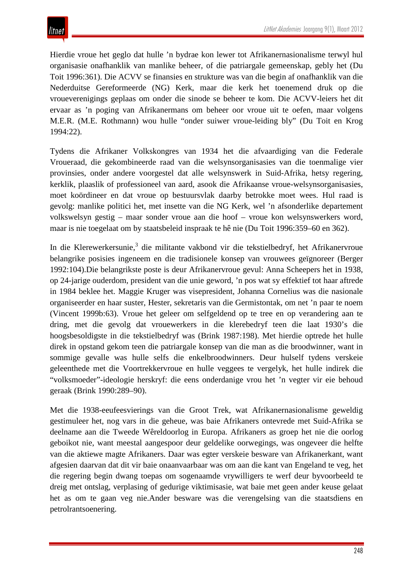Hierdie vroue het geglo dat hulle 'n bydrae kon lewer tot Afrikanernasionalisme terwyl hul organisasie onafhanklik van manlike beheer, of die patriargale gemeenskap, gebly het (Du Toit 1996:361). Die ACVV se finansies en strukture was van die begin af onafhanklik van die Nederduitse Gereformeerde (NG) Kerk, maar die kerk het toenemend druk op die vroueverenigings geplaas om onder die sinode se beheer te kom. Die ACVV-leiers het dit ervaar as 'n poging van Afrikanermans om beheer oor vroue uit te oefen, maar volgens M.E.R. (M.E. Rothmann) wou hulle "onder suiwer vroue-leiding bly" (Du Toit en Krog 1994:22).

Tydens die Afrikaner Volkskongres van 1934 het die afvaardiging van die Federale Vroueraad, die gekombineerde raad van die welsynsorganisasies van die toenmalige vier provinsies, onder andere voorgestel dat alle welsynswerk in Suid-Afrika, hetsy regering, kerklik, plaaslik of professioneel van aard, asook die Afrikaanse vroue-welsynsorganisasies, moet koördineer en dat vroue op bestuursvlak daarby betrokke moet wees. Hul raad is gevolg: manlike politici het, met insette van die NG Kerk, wel 'n afsonderlike departement volkswelsyn gestig – maar sonder vroue aan die hoof – vroue kon welsynswerkers word, maar is nie toegelaat om by staatsbeleid inspraak te hê nie (Du Toit 1996:359–60 en 362).

In die Klerewerkersunie,<sup>3</sup> die militante vakbond vir die tekstielbedryf, het Afrikanervroue belangrike posisies ingeneem en die tradisionele konsep van vrouwees geïgnoreer (Berger 1992:104).Die belangrikste poste is deur Afrikanervroue gevul: Anna Scheepers het in 1938, op 24-jarige ouderdom, president van die unie geword, 'n pos wat sy effektief tot haar aftrede in 1984 beklee het. Maggie Kruger was visepresident, Johanna Cornelius was die nasionale organiseerder en haar suster, Hester, sekretaris van die Germistontak, om net 'n paar te noem (Vincent 1999b:63). Vroue het geleer om selfgeldend op te tree en op verandering aan te dring, met die gevolg dat vrouewerkers in die klerebedryf teen die laat 1930's die hoogsbesoldigste in die tekstielbedryf was (Brink 1987:198). Met hierdie optrede het hulle direk in opstand gekom teen die patriargale konsep van die man as die broodwinner, want in sommige gevalle was hulle selfs die enkelbroodwinners. Deur hulself tydens verskeie geleenthede met die Voortrekkervroue en hulle veggees te vergelyk, het hulle indirek die "volksmoeder"-ideologie herskryf: die eens onderdanige vrou het 'n vegter vir eie behoud geraak (Brink 1990:289–90).

Met die 1938-eeufeesvierings van die Groot Trek, wat Afrikanernasionalisme geweldig gestimuleer het, nog vars in die geheue, was baie Afrikaners ontevrede met Suid-Afrika se deelname aan die Tweede Wêreldoorlog in Europa. Afrikaners as groep het nie die oorlog geboikot nie, want meestal aangespoor deur geldelike oorwegings, was ongeveer die helfte van die aktiewe magte Afrikaners. Daar was egter verskeie besware van Afrikanerkant, want afgesien daarvan dat dit vir baie onaanvaarbaar was om aan die kant van Engeland te veg, het die regering begin dwang toepas om sogenaamde vrywilligers te werf deur byvoorbeeld te dreig met ontslag, verplasing of gedurige viktimisasie, wat baie met geen ander keuse gelaat het as om te gaan veg nie.Ander besware was die verengelsing van die staatsdiens en petrolrantsoenering.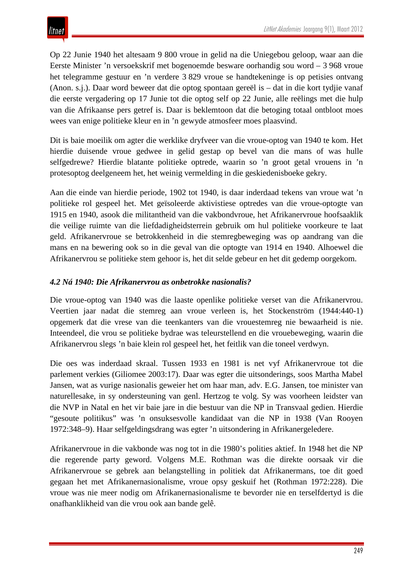## litnet

Op 22 Junie 1940 het altesaam 9 800 vroue in gelid na die Uniegebou geloop, waar aan die Eerste Minister 'n versoekskrif met bogenoemde besware oorhandig sou word – 3 968 vroue het telegramme gestuur en 'n verdere 3 829 vroue se handtekeninge is op petisies ontvang (Anon. s.j.). Daar word beweer dat die optog spontaan gereël is – dat in die kort tydjie vanaf die eerste vergadering op 17 Junie tot die optog self op 22 Junie, alle reëlings met die hulp van die Afrikaanse pers getref is. Daar is beklemtoon dat die betoging totaal ontbloot moes wees van enige politieke kleur en in 'n gewyde atmosfeer moes plaasvind.

Dit is baie moeilik om agter die werklike dryfveer van die vroue-optog van 1940 te kom. Het hierdie duisende vroue gedwee in gelid gestap op bevel van die mans of was hulle selfgedrewe? Hierdie blatante politieke optrede, waarin so 'n groot getal vrouens in 'n protesoptog deelgeneem het, het weinig vermelding in die geskiedenisboeke gekry.

Aan die einde van hierdie periode, 1902 tot 1940, is daar inderdaad tekens van vroue wat 'n politieke rol gespeel het. Met geïsoleerde aktivistiese optredes van die vroue-optogte van 1915 en 1940, asook die militantheid van die vakbondvroue, het Afrikanervroue hoofsaaklik die veilige ruimte van die liefdadigheidsterrein gebruik om hul politieke voorkeure te laat geld. Afrikanervroue se betrokkenheid in die stemregbeweging was op aandrang van die mans en na bewering ook so in die geval van die optogte van 1914 en 1940. Alhoewel die Afrikanervrou se politieke stem gehoor is, het dit selde gebeur en het dit gedemp oorgekom.

## *4.2 Ná 1940: Die Afrikanervrou as onbetrokke nasionalis?*

Die vroue-optog van 1940 was die laaste openlike politieke verset van die Afrikanervrou. Veertien jaar nadat die stemreg aan vroue verleen is, het Stockenström (1944:440-1) opgemerk dat die vrese van die teenkanters van die vrouestemreg nie bewaarheid is nie. Inteendeel, die vrou se politieke bydrae was teleurstellend en die vrouebeweging, waarin die Afrikanervrou slegs 'n baie klein rol gespeel het, het feitlik van die toneel verdwyn.

Die oes was inderdaad skraal. Tussen 1933 en 1981 is net vyf Afrikanervroue tot die parlement verkies (Giliomee 2003:17). Daar was egter die uitsonderings, soos Martha Mabel Jansen, wat as vurige nasionalis geweier het om haar man, adv. E.G. Jansen, toe minister van naturellesake, in sy ondersteuning van genl. Hertzog te volg. Sy was voorheen leidster van die NVP in Natal en het vir baie jare in die bestuur van die NP in Transvaal gedien. Hierdie "gesoute politikus" was 'n onsuksesvolle kandidaat van die NP in 1938 (Van Rooyen 1972:348–9). Haar selfgeldingsdrang was egter 'n uitsondering in Afrikanergeledere.

Afrikanervroue in die vakbonde was nog tot in die 1980's polities aktief. In 1948 het die NP die regerende party geword. Volgens M.E. Rothman was die direkte oorsaak vir die Afrikanervroue se gebrek aan belangstelling in politiek dat Afrikanermans, toe dit goed gegaan het met Afrikanernasionalisme, vroue opsy geskuif het (Rothman 1972:228). Die vroue was nie meer nodig om Afrikanernasionalisme te bevorder nie en terselfdertyd is die onafhanklikheid van die vrou ook aan bande gelê.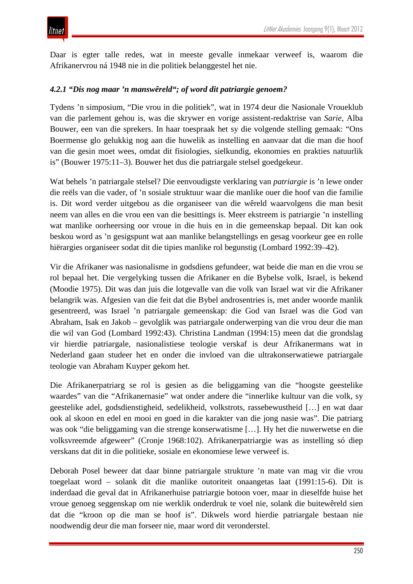Daar is egter talle redes, wat in meeste gevalle inmekaar verweef is, waarom die Afrikanervrou ná 1948 nie in die politiek belanggestel het nie.

#### *4.2.1 "Dis nog maar 'n manswêreld"; of word dit patriargie genoem?*

Tydens 'n simposium, "Die vrou in die politiek", wat in 1974 deur die Nasionale Vroueklub van die parlement gehou is, was die skrywer en vorige assistent-redaktrise van *Sarie*, Alba Bouwer, een van die sprekers. In haar toespraak het sy die volgende stelling gemaak: "Ons Boermense glo gelukkig nog aan die huwelik as instelling en aanvaar dat die man die hoof van die gesin moet wees, omdat dit fisiologies, sielkundig, ekonomies en prakties natuurlik is" (Bouwer 1975:11–3). Bouwer het dus die patriargale stelsel goedgekeur.

Wat behels 'n patriargale stelsel? Die eenvoudigste verklaring van *patriargie* is 'n lewe onder die reëls van die vader, of 'n sosiale struktuur waar die manlike ouer die hoof van die familie is. Dit word verder uitgebou as die organiseer van die wêreld waarvolgens die man besit neem van alles en die vrou een van die besittings is. Meer ekstreem is patriargie 'n instelling wat manlike oorheersing oor vroue in die huis en in die gemeenskap bepaal. Dit kan ook beskou word as 'n gesigspunt wat aan manlike belangstellings en gesag voorkeur gee en rolle hiërargies organiseer sodat dit die tipies manlike rol begunstig (Lombard 1992:39–42).

Vir die Afrikaner was nasionalisme in godsdiens gefundeer, wat beide die man en die vrou se rol bepaal het. Die vergelyking tussen die Afrikaner en die Bybelse volk, Israel, is bekend (Moodie 1975). Dit was dan juis die lotgevalle van die volk van Israel wat vir die Afrikaner belangrik was. Afgesien van die feit dat die Bybel androsentries is, met ander woorde manlik gesentreerd, was Israel 'n patriargale gemeenskap: die God van Israel was die God van Abraham, Isak en Jakob – gevolglik was patriargale onderwerping van die vrou deur die man die wil van God (Lombard 1992:43). Christina Landman (1994:15) meen dat die grondslag vir hierdie patriargale, nasionalistiese teologie verskaf is deur Afrikanermans wat in Nederland gaan studeer het en onder die invloed van die ultrakonserwatiewe patriargale teologie van Abraham Kuyper gekom het.

Die Afrikanerpatriarg se rol is gesien as die beliggaming van die "hoogste geestelike waardes" van die "Afrikanernasie" wat onder andere die "innerlike kultuur van die volk, sy geestelike adel, godsdienstigheid, sedelikheid, volkstrots, rassebewustheid […] en wat daar ook al skoon en edel en mooi en goed in die karakter van die jong nasie was". Die patriarg was ook "die beliggaming van die strenge konserwatisme […]. Hy het die nuwerwetse en die volksvreemde afgeweer" (Cronje 1968:102). Afrikanerpatriargie was as instelling só diep verskans dat dit in die politieke, sosiale en ekonomiese lewe verweef is.

Deborah Posel beweer dat daar binne patriargale strukture 'n mate van mag vir die vrou toegelaat word – solank dit die manlike outoriteit onaangetas laat (1991:15-6). Dit is inderdaad die geval dat in Afrikanerhuise patriargie botoon voer, maar in dieselfde huise het vroue genoeg seggenskap om nie werklik onderdruk te voel nie, solank die buitewêreld sien dat die "kroon op die man se hoof is". Dikwels word hierdie patriargale bestaan nie noodwendig deur die man forseer nie, maar word dit veronderstel.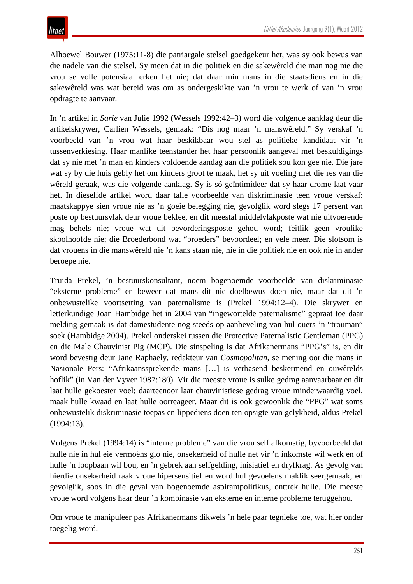Alhoewel Bouwer (1975:11-8) die patriargale stelsel goedgekeur het, was sy ook bewus van die nadele van die stelsel. Sy meen dat in die politiek en die sakewêreld die man nog nie die vrou se volle potensiaal erken het nie; dat daar min mans in die staatsdiens en in die sakewêreld was wat bereid was om as ondergeskikte van 'n vrou te werk of van 'n vrou opdragte te aanvaar.

In 'n artikel in *Sarie* van Julie 1992 (Wessels 1992:42–3) word die volgende aanklag deur die artikelskrywer, Carlien Wessels, gemaak: "Dis nog maar 'n manswêreld." Sy verskaf 'n voorbeeld van 'n vrou wat haar beskikbaar wou stel as politieke kandidaat vir 'n tussenverkiesing. Haar manlike teenstander het haar persoonlik aangeval met beskuldigings dat sy nie met 'n man en kinders voldoende aandag aan die politiek sou kon gee nie. Die jare wat sy by die huis gebly het om kinders groot te maak, het sy uit voeling met die res van die wêreld geraak, was die volgende aanklag. Sy is só geïntimideer dat sy haar drome laat vaar het. In dieselfde artikel word daar talle voorbeelde van diskriminasie teen vroue verskaf: maatskappye sien vroue nie as 'n goeie belegging nie, gevolglik word slegs 17 persent van poste op bestuursvlak deur vroue beklee, en dit meestal middelvlakposte wat nie uitvoerende mag behels nie; vroue wat uit bevorderingsposte gehou word; feitlik geen vroulike skoolhoofde nie; die Broederbond wat "broeders" bevoordeel; en vele meer. Die slotsom is dat vrouens in die manswêreld nie 'n kans staan nie, nie in die politiek nie en ook nie in ander beroepe nie.

Truida Prekel, 'n bestuurskonsultant, noem bogenoemde voorbeelde van diskriminasie "eksterne probleme" en beweer dat mans dit nie doelbewus doen nie, maar dat dit 'n onbewustelike voortsetting van paternalisme is (Prekel 1994:12–4). Die skrywer en letterkundige Joan Hambidge het in 2004 van "ingewortelde paternalisme" gepraat toe daar melding gemaak is dat damestudente nog steeds op aanbeveling van hul ouers 'n "trouman" soek (Hambidge 2004). Prekel onderskei tussen die Protective Paternalistic Gentleman (PPG) en die Male Chauvinist Pig (MCP). Die sinspeling is dat Afrikanermans "PPG's" is, en dit word bevestig deur Jane Raphaely, redakteur van *Cosmopolitan*, se mening oor die mans in Nasionale Pers: "Afrikaanssprekende mans […] is verbasend beskermend en ouwêrelds hoflik" (in Van der Vyver 1987:180). Vir die meeste vroue is sulke gedrag aanvaarbaar en dit laat hulle gekoester voel; daarteenoor laat chauvinistiese gedrag vroue minderwaardig voel, maak hulle kwaad en laat hulle oorreageer. Maar dit is ook gewoonlik die "PPG" wat soms onbewustelik diskriminasie toepas en lippediens doen ten opsigte van gelykheid, aldus Prekel (1994:13).

Volgens Prekel (1994:14) is "interne probleme" van die vrou self afkomstig, byvoorbeeld dat hulle nie in hul eie vermoëns glo nie, onsekerheid of hulle net vir 'n inkomste wil werk en of hulle 'n loopbaan wil bou, en 'n gebrek aan selfgelding, inisiatief en dryfkrag. As gevolg van hierdie onsekerheid raak vroue hipersensitief en word hul gevoelens maklik seergemaak; en gevolglik, soos in die geval van bogenoemde aspirantpolitikus, onttrek hulle. Die meeste vroue word volgens haar deur 'n kombinasie van eksterne en interne probleme teruggehou.

Om vroue te manipuleer pas Afrikanermans dikwels 'n hele paar tegnieke toe, wat hier onder toegelig word.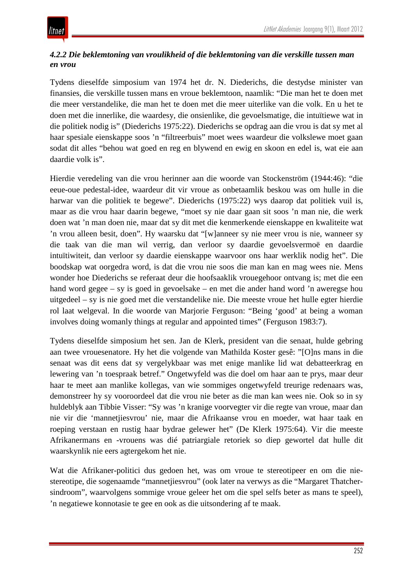## *4.2.2 Die beklemtoning van vroulikheid of die beklemtoning van die verskille tussen man en vrou*

Tydens dieselfde simposium van 1974 het dr. N. Diederichs, die destydse minister van finansies, die verskille tussen mans en vroue beklemtoon, naamlik: "Die man het te doen met die meer verstandelike, die man het te doen met die meer uiterlike van die volk. En u het te doen met die innerlike, die waardesy, die onsienlike, die gevoelsmatige, die intuïtiewe wat in die politiek nodig is" (Diederichs 1975:22). Diederichs se opdrag aan die vrou is dat sy met al haar spesiale eienskappe soos 'n "filtreerbuis" moet wees waardeur die volkslewe moet gaan sodat dit alles "behou wat goed en reg en blywend en ewig en skoon en edel is, wat eie aan daardie volk is".

Hierdie veredeling van die vrou herinner aan die woorde van Stockenström (1944:46): "die eeue-oue pedestal-idee, waardeur dit vir vroue as onbetaamlik beskou was om hulle in die harwar van die politiek te begewe". Diederichs (1975:22) wys daarop dat politiek vuil is, maar as die vrou haar daarin begewe, "moet sy nie daar gaan sit soos 'n man nie, die werk doen wat 'n man doen nie, maar dat sy dit met die kenmerkende eienskappe en kwaliteite wat 'n vrou alleen besit, doen". Hy waarsku dat "[w]anneer sy nie meer vrou is nie, wanneer sy die taak van die man wil verrig, dan verloor sy daardie gevoelsvermoë en daardie intuïtiwiteit, dan verloor sy daardie eienskappe waarvoor ons haar werklik nodig het". Die boodskap wat oorgedra word, is dat die vrou nie soos die man kan en mag wees nie. Mens wonder hoe Diederichs se referaat deur die hoofsaaklik vrouegehoor ontvang is; met die een hand word gegee – sy is goed in gevoelsake – en met die ander hand word 'n aweregse hou uitgedeel – sy is nie goed met die verstandelike nie. Die meeste vroue het hulle egter hierdie rol laat welgeval. In die woorde van Marjorie Ferguson: "Being 'good' at being a woman involves doing womanly things at regular and appointed times" (Ferguson 1983:7).

Tydens dieselfde simposium het sen. Jan de Klerk, president van die senaat, hulde gebring aan twee vrouesenatore. Hy het die volgende van Mathilda Koster gesê: "[O]ns mans in die senaat was dit eens dat sy vergelykbaar was met enige manlike lid wat debatteerkrag en lewering van 'n toespraak betref." Ongetwyfeld was die doel om haar aan te prys, maar deur haar te meet aan manlike kollegas, van wie sommiges ongetwyfeld treurige redenaars was, demonstreer hy sy vooroordeel dat die vrou nie beter as die man kan wees nie. Ook so in sy huldeblyk aan Tibbie Visser: "Sy was 'n kranige voorvegter vir die regte van vroue, maar dan nie vir die 'mannetjiesvrou' nie, maar die Afrikaanse vrou en moeder, wat haar taak en roeping verstaan en rustig haar bydrae gelewer het" (De Klerk 1975:64). Vir die meeste Afrikanermans en -vrouens was dié patriargiale retoriek so diep gewortel dat hulle dit waarskynlik nie eers agtergekom het nie.

Wat die Afrikaner-politici dus gedoen het, was om vroue te stereotipeer en om die niestereotipe, die sogenaamde "mannetjiesvrou" (ook later na verwys as die "Margaret Thatchersindroom", waarvolgens sommige vroue geleer het om die spel selfs beter as mans te speel), 'n negatiewe konnotasie te gee en ook as die uitsondering af te maak.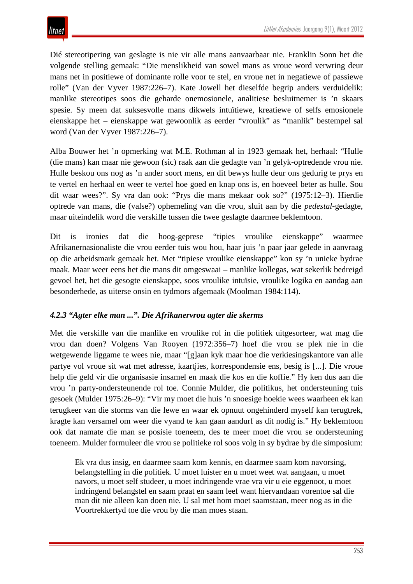Dié stereotipering van geslagte is nie vir alle mans aanvaarbaar nie. Franklin Sonn het die volgende stelling gemaak: "Die menslikheid van sowel mans as vroue word verwring deur mans net in positiewe of dominante rolle voor te stel, en vroue net in negatiewe of passiewe rolle" (Van der Vyver 1987:226–7). Kate Jowell het dieselfde begrip anders verduidelik: manlike stereotipes soos die geharde onemosionele, analitiese besluitnemer is 'n skaars spesie. Sy meen dat suksesvolle mans dikwels intuïtiewe, kreatiewe of selfs emosionele eienskappe het – eienskappe wat gewoonlik as eerder "vroulik" as "manlik" bestempel sal word (Van der Vyver 1987:226–7).

Alba Bouwer het 'n opmerking wat M.E. Rothman al in 1923 gemaak het, herhaal: "Hulle (die mans) kan maar nie gewoon (sic) raak aan die gedagte van 'n gelyk-optredende vrou nie. Hulle beskou ons nog as 'n ander soort mens, en dit bewys hulle deur ons gedurig te prys en te vertel en herhaal en weer te vertel hoe goed en knap ons is, en hoeveel beter as hulle. Sou dit waar wees?". Sy vra dan ook: "Prys die mans mekaar ook so?" (1975:12–3). Hierdie optrede van mans, die (valse?) ophemeling van die vrou, sluit aan by die *pedestal*-gedagte, maar uiteindelik word die verskille tussen die twee geslagte daarmee beklemtoon.

Dit is ironies dat die hoog-geprese "tipies vroulike eienskappe" waarmee Afrikanernasionaliste die vrou eerder tuis wou hou, haar juis 'n paar jaar gelede in aanvraag op die arbeidsmark gemaak het. Met "tipiese vroulike eienskappe" kon sy 'n unieke bydrae maak. Maar weer eens het die mans dit omgeswaai – manlike kollegas, wat sekerlik bedreigd gevoel het, het die gesogte eienskappe, soos vroulike intuïsie, vroulike logika en aandag aan besonderhede, as uiterse onsin en tydmors afgemaak (Moolman 1984:114).

## *4.2.3 "Agter elke man ...". Die Afrikanervrou agter die skerms*

Met die verskille van die manlike en vroulike rol in die politiek uitgesorteer, wat mag die vrou dan doen? Volgens Van Rooyen (1972:356–7) hoef die vrou se plek nie in die wetgewende liggame te wees nie, maar "[g]aan kyk maar hoe die verkiesingskantore van alle partye vol vroue sit wat met adresse, kaartjies, korrespondensie ens, besig is [...]. Die vroue help die geld vir die organisasie insamel en maak die kos en die koffie." Hy ken dus aan die vrou 'n party-ondersteunende rol toe. Connie Mulder, die politikus, het ondersteuning tuis gesoek (Mulder 1975:26–9): "Vir my moet die huis 'n snoesige hoekie wees waarheen ek kan terugkeer van die storms van die lewe en waar ek opnuut ongehinderd myself kan terugtrek, kragte kan versamel om weer die vyand te kan gaan aandurf as dit nodig is." Hy beklemtoon ook dat namate die man se posisie toeneem, des te meer moet die vrou se ondersteuning toeneem. Mulder formuleer die vrou se politieke rol soos volg in sy bydrae by die simposium:

Ek vra dus insig, en daarmee saam kom kennis, en daarmee saam kom navorsing, belangstelling in die politiek. U moet luister en u moet weet wat aangaan, u moet navors, u moet self studeer, u moet indringende vrae vra vir u eie eggenoot, u moet indringend belangstel en saam praat en saam leef want hiervandaan vorentoe sal die man dit nie alleen kan doen nie. U sal met hom moet saamstaan, meer nog as in die Voortrekkertyd toe die vrou by die man moes staan.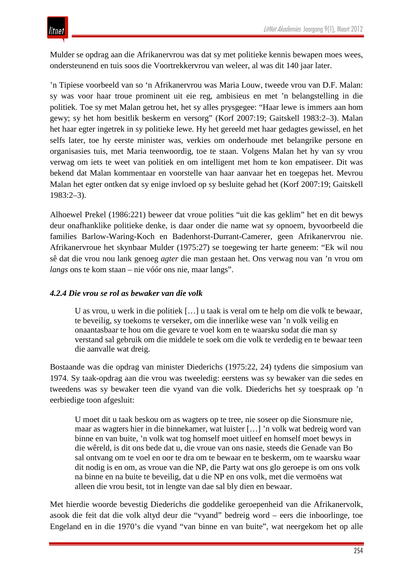Mulder se opdrag aan die Afrikanervrou was dat sy met politieke kennis bewapen moes wees, ondersteunend en tuis soos die Voortrekkervrou van weleer, al was dit 140 jaar later.

'n Tipiese voorbeeld van so 'n Afrikanervrou was Maria Louw, tweede vrou van D.F. Malan: sy was voor haar troue prominent uit eie reg, ambisieus en met 'n belangstelling in die politiek. Toe sy met Malan getrou het, het sy alles prysgegee: "Haar lewe is immers aan hom gewy; sy het hom besitlik beskerm en versorg" (Korf 2007:19; Gaitskell 1983:2–3). Malan het haar egter ingetrek in sy politieke lewe. Hy het gereeld met haar gedagtes gewissel, en het selfs later, toe hy eerste minister was, verkies om onderhoude met belangrike persone en organisasies tuis, met Maria teenwoordig, toe te staan. Volgens Malan het hy van sy vrou verwag om iets te weet van politiek en om intelligent met hom te kon empatiseer. Dit was bekend dat Malan kommentaar en voorstelle van haar aanvaar het en toegepas het. Mevrou Malan het egter ontken dat sy enige invloed op sy besluite gehad het (Korf 2007:19; Gaitskell 1983:2–3).

Alhoewel Prekel (1986:221) beweer dat vroue polities "uit die kas geklim" het en dit bewys deur onafhanklike politieke denke, is daar onder die name wat sy opnoem, byvoorbeeld die families Barlow-Waring-Koch en Badenhorst-Durrant-Camerer, geen Afrikanervrou nie. Afrikanervroue het skynbaar Mulder (1975:27) se toegewing ter harte geneem: "Ek wil nou sê dat die vrou nou lank genoeg *agter* die man gestaan het. Ons verwag nou van 'n vrou om *langs* ons te kom staan – nie vóór ons nie, maar langs".

#### *4.2.4 Die vrou se rol as bewaker van die volk*

U as vrou, u werk in die politiek […] u taak is veral om te help om die volk te bewaar, te beveilig, sy toekoms te verseker, om die innerlike wese van 'n volk veilig en onaantasbaar te hou om die gevare te voel kom en te waarsku sodat die man sy verstand sal gebruik om die middele te soek om die volk te verdedig en te bewaar teen die aanvalle wat dreig.

Bostaande was die opdrag van minister Diederichs (1975:22, 24) tydens die simposium van 1974. Sy taak-opdrag aan die vrou was tweeledig: eerstens was sy bewaker van die sedes en tweedens was sy bewaker teen die vyand van die volk. Diederichs het sy toespraak op 'n eerbiedige toon afgesluit:

U moet dit u taak beskou om as wagters op te tree, nie soseer op die Sionsmure nie, maar as wagters hier in die binnekamer, wat luister […] 'n volk wat bedreig word van binne en van buite, 'n volk wat tog homself moet uitleef en homself moet bewys in die wêreld, is dit ons bede dat u, die vroue van ons nasie, steeds die Genade van Bo sal ontvang om te voel en oor te dra om te bewaar en te beskerm, om te waarsku waar dit nodig is en om, as vroue van die NP, die Party wat ons glo geroepe is om ons volk na binne en na buite te beveilig, dat u die NP en ons volk, met die vermoëns wat alleen die vrou besit, tot in lengte van dae sal bly dien en bewaar.

Met hierdie woorde bevestig Diederichs die goddelike geroepenheid van die Afrikanervolk, asook die feit dat die volk altyd deur die "vyand" bedreig word – eers die inboorlinge, toe Engeland en in die 1970's die vyand "van binne en van buite", wat neergekom het op alle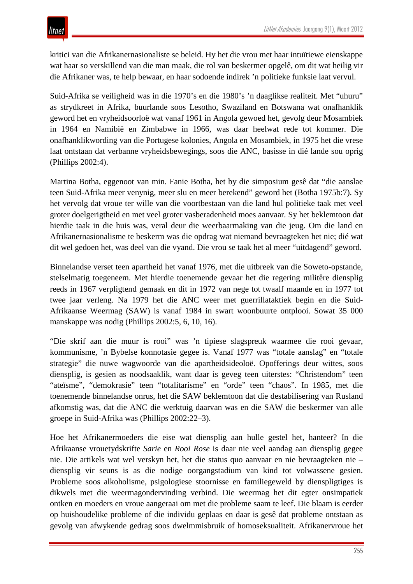kritici van die Afrikanernasionaliste se beleid. Hy het die vrou met haar intuïtiewe eienskappe wat haar so verskillend van die man maak, die rol van beskermer opgelê, om dit wat heilig vir die Afrikaner was, te help bewaar, en haar sodoende indirek 'n politieke funksie laat vervul.

Suid-Afrika se veiligheid was in die 1970's en die 1980's 'n daaglikse realiteit. Met "uhuru" as strydkreet in Afrika, buurlande soos Lesotho, Swaziland en Botswana wat onafhanklik geword het en vryheidsoorloë wat vanaf 1961 in Angola gewoed het, gevolg deur Mosambiek in 1964 en Namibië en Zimbabwe in 1966, was daar heelwat rede tot kommer. Die onafhanklikwording van die Portugese kolonies, Angola en Mosambiek, in 1975 het die vrese laat ontstaan dat verbanne vryheidsbewegings, soos die ANC, basisse in dié lande sou oprig (Phillips 2002:4).

Martina Botha, eggenoot van min. Fanie Botha, het by die simposium gesê dat "die aanslae teen Suid-Afrika meer venynig, meer slu en meer berekend" geword het (Botha 1975b:7). Sy het vervolg dat vroue ter wille van die voortbestaan van die land hul politieke taak met veel groter doelgerigtheid en met veel groter vasberadenheid moes aanvaar. Sy het beklemtoon dat hierdie taak in die huis was, veral deur die weerbaarmaking van die jeug. Om die land en Afrikanernasionalisme te beskerm was die opdrag wat niemand bevraagteken het nie; dié wat dit wel gedoen het, was deel van die vyand. Die vrou se taak het al meer "uitdagend" geword.

Binnelandse verset teen apartheid het vanaf 1976, met die uitbreek van die Soweto-opstande, stelselmatig toegeneem. Met hierdie toenemende gevaar het die regering militêre diensplig reeds in 1967 verpligtend gemaak en dit in 1972 van nege tot twaalf maande en in 1977 tot twee jaar verleng. Na 1979 het die ANC weer met guerrillataktiek begin en die Suid-Afrikaanse Weermag (SAW) is vanaf 1984 in swart woonbuurte ontplooi. Sowat 35 000 manskappe was nodig (Phillips 2002:5, 6, 10, 16).

"Die skrif aan die muur is rooi" was 'n tipiese slagspreuk waarmee die rooi gevaar, kommunisme, 'n Bybelse konnotasie gegee is. Vanaf 1977 was "totale aanslag" en "totale strategie" die nuwe wagwoorde van die apartheidsideoloë. Opofferings deur wittes, soos diensplig, is gesien as noodsaaklik, want daar is geveg teen uiterstes: "Christendom" teen "ateïsme", "demokrasie" teen "totalitarisme" en "orde" teen "chaos". In 1985, met die toenemende binnelandse onrus, het die SAW beklemtoon dat die destabilisering van Rusland afkomstig was, dat die ANC die werktuig daarvan was en die SAW die beskermer van alle groepe in Suid-Afrika was (Phillips 2002:22–3).

Hoe het Afrikanermoeders die eise wat diensplig aan hulle gestel het, hanteer? In die Afrikaanse vrouetydskrifte *Sarie* en *Rooi Rose* is daar nie veel aandag aan diensplig gegee nie. Die artikels wat wel verskyn het, het die status quo aanvaar en nie bevraagteken nie – diensplig vir seuns is as die nodige oorgangstadium van kind tot volwassene gesien. Probleme soos alkoholisme, psigologiese stoornisse en familiegeweld by dienspligtiges is dikwels met die weermagondervinding verbind. Die weermag het dit egter onsimpatiek ontken en moeders en vroue aangeraai om met die probleme saam te leef. Die blaam is eerder op huishoudelike probleme of die individu geplaas en daar is gesê dat probleme ontstaan as gevolg van afwykende gedrag soos dwelmmisbruik of homoseksualiteit. Afrikanervroue het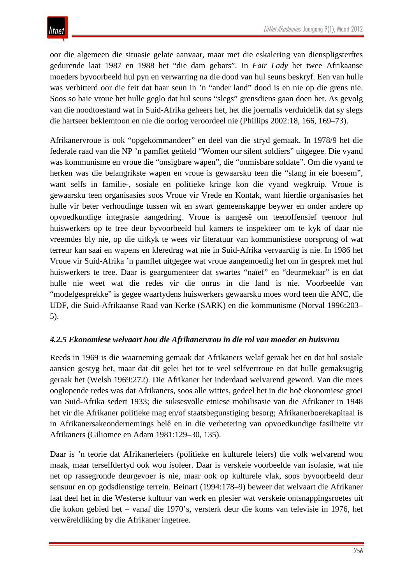oor die algemeen die situasie gelate aanvaar, maar met die eskalering van dienspligsterftes gedurende laat 1987 en 1988 het "die dam gebars". In *Fair Lady* het twee Afrikaanse moeders byvoorbeeld hul pyn en verwarring na die dood van hul seuns beskryf. Een van hulle was verbitterd oor die feit dat haar seun in 'n "ander land" dood is en nie op die grens nie. Soos so baie vroue het hulle geglo dat hul seuns "slegs" grensdiens gaan doen het. As gevolg van die noodtoestand wat in Suid-Afrika geheers het, het die joernalis verduidelik dat sy slegs die hartseer beklemtoon en nie die oorlog veroordeel nie (Phillips 2002:18, 166, 169–73).

Afrikanervroue is ook "opgekommandeer" en deel van die stryd gemaak. In 1978/9 het die federale raad van die NP 'n pamflet getiteld "Women our silent soldiers" uitgegee. Die vyand was kommunisme en vroue die "onsigbare wapen", die "onmisbare soldate". Om die vyand te herken was die belangrikste wapen en vroue is gewaarsku teen die "slang in eie boesem", want selfs in familie-, sosiale en politieke kringe kon die vyand wegkruip. Vroue is gewaarsku teen organisasies soos Vroue vir Vrede en Kontak, want hierdie organisasies het hulle vir beter verhoudinge tussen wit en swart gemeenskappe beywer en onder andere op opvoedkundige integrasie aangedring. Vroue is aangesê om teenoffensief teenoor hul huiswerkers op te tree deur byvoorbeeld hul kamers te inspekteer om te kyk of daar nie vreemdes bly nie, op die uitkyk te wees vir literatuur van kommunistiese oorsprong of wat terreur kan saai en wapens en kleredrag wat nie in Suid-Afrika vervaardig is nie. In 1986 het Vroue vir Suid-Afrika 'n pamflet uitgegee wat vroue aangemoedig het om in gesprek met hul huiswerkers te tree. Daar is geargumenteer dat swartes "naïef" en "deurmekaar" is en dat hulle nie weet wat die redes vir die onrus in die land is nie. Voorbeelde van "modelgesprekke" is gegee waartydens huiswerkers gewaarsku moes word teen die ANC, die UDF, die Suid-Afrikaanse Raad van Kerke (SARK) en die kommunisme (Norval 1996:203– 5).

## *4.2.5 Ekonomiese welvaart hou die Afrikanervrou in die rol van moeder en huisvrou*

Reeds in 1969 is die waarneming gemaak dat Afrikaners welaf geraak het en dat hul sosiale aansien gestyg het, maar dat dit gelei het tot te veel selfvertroue en dat hulle gemaksugtig geraak het (Welsh 1969:272). Die Afrikaner het inderdaad welvarend geword. Van die mees ooglopende redes was dat Afrikaners, soos alle wittes, gedeel het in die hoë ekonomiese groei van Suid-Afrika sedert 1933; die suksesvolle etniese mobilisasie van die Afrikaner in 1948 het vir die Afrikaner politieke mag en/of staatsbegunstiging besorg; Afrikanerboerekapitaal is in Afrikanersakeondernemings belê en in die verbetering van opvoedkundige fasiliteite vir Afrikaners (Giliomee en Adam 1981:129–30, 135).

Daar is 'n teorie dat Afrikanerleiers (politieke en kulturele leiers) die volk welvarend wou maak, maar terselfdertyd ook wou isoleer. Daar is verskeie voorbeelde van isolasie, wat nie net op rassegronde deurgevoer is nie, maar ook op kulturele vlak, soos byvoorbeeld deur sensuur en op godsdienstige terrein. Beinart (1994:178–9) beweer dat welvaart die Afrikaner laat deel het in die Westerse kultuur van werk en plesier wat verskeie ontsnappingsroetes uit die kokon gebied het – vanaf die 1970's, versterk deur die koms van televisie in 1976, het verwêreldliking by die Afrikaner ingetree.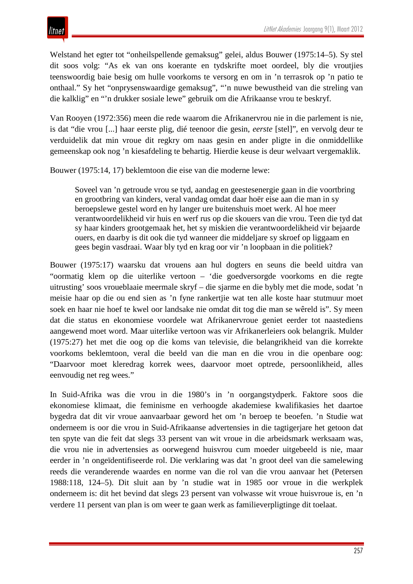Welstand het egter tot "onheilspellende gemaksug" gelei, aldus Bouwer (1975:14–5). Sy stel dit soos volg: "As ek van ons koerante en tydskrifte moet oordeel, bly die vroutjies teenswoordig baie besig om hulle voorkoms te versorg en om in 'n terrasrok op 'n patio te onthaal." Sy het "onprysenswaardige gemaksug", "'n nuwe bewustheid van die streling van die kalklig" en "'n drukker sosiale lewe" gebruik om die Afrikaanse vrou te beskryf.

Van Rooyen (1972:356) meen die rede waarom die Afrikanervrou nie in die parlement is nie, is dat "die vrou [...] haar eerste plig, dié teenoor die gesin, *eerste* [stel]", en vervolg deur te verduidelik dat min vroue dit regkry om naas gesin en ander pligte in die onmiddellike gemeenskap ook nog 'n kiesafdeling te behartig. Hierdie keuse is deur welvaart vergemaklik.

Bouwer (1975:14, 17) beklemtoon die eise van die moderne lewe:

Soveel van 'n getroude vrou se tyd, aandag en geestesenergie gaan in die voortbring en grootbring van kinders, veral vandag omdat daar hoër eise aan die man in sy beroepslewe gestel word en hy langer ure buitenshuis moet werk. Al hoe meer verantwoordelikheid vir huis en werf rus op die skouers van die vrou. Teen die tyd dat sy haar kinders grootgemaak het, het sy miskien die verantwoordelikheid vir bejaarde ouers, en daarby is dit ook die tyd wanneer die middeljare sy skroef op liggaam en gees begin vasdraai. Waar bly tyd en krag oor vir 'n loopbaan in die politiek?

Bouwer (1975:17) waarsku dat vrouens aan hul dogters en seuns die beeld uitdra van "oormatig klem op die uiterlike vertoon – 'die goedversorgde voorkoms en die regte uitrusting' soos vroueblaaie meermale skryf – die sjarme en die bybly met die mode, sodat 'n meisie haar op die ou end sien as 'n fyne rankertjie wat ten alle koste haar stutmuur moet soek en haar nie hoef te kwel oor landsake nie omdat dit tog die man se wêreld is". Sy meen dat die status en ekonomiese voordele wat Afrikanervroue geniet eerder tot naastediens aangewend moet word. Maar uiterlike vertoon was vir Afrikanerleiers ook belangrik. Mulder (1975:27) het met die oog op die koms van televisie, die belangrikheid van die korrekte voorkoms beklemtoon, veral die beeld van die man en die vrou in die openbare oog: "Daarvoor moet kleredrag korrek wees, daarvoor moet optrede, persoonlikheid, alles eenvoudig net reg wees."

In Suid-Afrika was die vrou in die 1980's in 'n oorgangstydperk. Faktore soos die ekonomiese klimaat, die feminisme en verhoogde akademiese kwalifikasies het daartoe bygedra dat dit vir vroue aanvaarbaar geword het om 'n beroep te beoefen. 'n Studie wat onderneem is oor die vrou in Suid-Afrikaanse advertensies in die tagtigerjare het getoon dat ten spyte van die feit dat slegs 33 persent van wit vroue in die arbeidsmark werksaam was, die vrou nie in advertensies as oorwegend huisvrou cum moeder uitgebeeld is nie, maar eerder in 'n ongeïdentifiseerde rol. Die verklaring was dat 'n groot deel van die samelewing reeds die veranderende waardes en norme van die rol van die vrou aanvaar het (Petersen 1988:118, 124–5). Dit sluit aan by 'n studie wat in 1985 oor vroue in die werkplek onderneem is: dit het bevind dat slegs 23 persent van volwasse wit vroue huisvroue is, en 'n verdere 11 persent van plan is om weer te gaan werk as familieverpligtinge dit toelaat.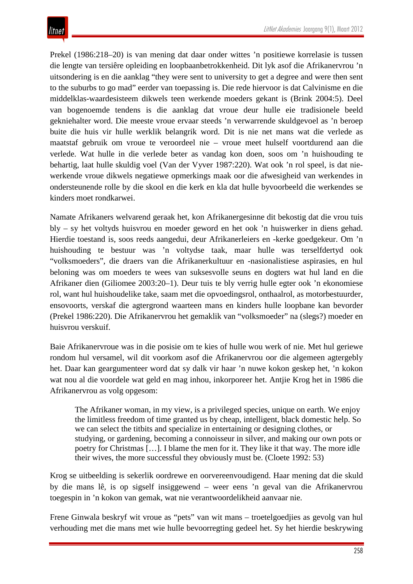Prekel (1986:218–20) is van mening dat daar onder wittes 'n positiewe korrelasie is tussen die lengte van tersiêre opleiding en loopbaanbetrokkenheid. Dit lyk asof die Afrikanervrou 'n uitsondering is en die aanklag "they were sent to university to get a degree and were then sent to the suburbs to go mad" eerder van toepassing is. Die rede hiervoor is dat Calvinisme en die middelklas-waardesisteem dikwels teen werkende moeders gekant is (Brink 2004:5). Deel van bogenoemde tendens is die aanklag dat vroue deur hulle eie tradisionele beeld gekniehalter word. Die meeste vroue ervaar steeds 'n verwarrende skuldgevoel as 'n beroep buite die huis vir hulle werklik belangrik word. Dit is nie net mans wat die verlede as maatstaf gebruik om vroue te veroordeel nie – vroue meet hulself voortdurend aan die verlede. Wat hulle in die verlede beter as vandag kon doen, soos om 'n huishouding te behartig, laat hulle skuldig voel (Van der Vyver 1987:220). Wat ook 'n rol speel, is dat niewerkende vroue dikwels negatiewe opmerkings maak oor die afwesigheid van werkendes in ondersteunende rolle by die skool en die kerk en kla dat hulle byvoorbeeld die werkendes se kinders moet rondkarwei.

Namate Afrikaners welvarend geraak het, kon Afrikanergesinne dit bekostig dat die vrou tuis bly – sy het voltyds huisvrou en moeder geword en het ook 'n huiswerker in diens gehad. Hierdie toestand is, soos reeds aangedui, deur Afrikanerleiers en -kerke goedgekeur. Om 'n huishouding te bestuur was 'n voltydse taak, maar hulle was terselfdertyd ook "volksmoeders", die draers van die Afrikanerkultuur en -nasionalistiese aspirasies, en hul beloning was om moeders te wees van suksesvolle seuns en dogters wat hul land en die Afrikaner dien (Giliomee 2003:20–1). Deur tuis te bly verrig hulle egter ook 'n ekonomiese rol, want hul huishoudelike take, saam met die opvoedingsrol, onthaalrol, as motorbestuurder, ensovoorts, verskaf die agtergrond waarteen mans en kinders hulle loopbane kan bevorder (Prekel 1986:220). Die Afrikanervrou het gemaklik van "volksmoeder" na (slegs?) moeder en huisvrou verskuif.

Baie Afrikanervroue was in die posisie om te kies of hulle wou werk of nie. Met hul geriewe rondom hul versamel, wil dit voorkom asof die Afrikanervrou oor die algemeen agtergebly het. Daar kan geargumenteer word dat sy dalk vir haar 'n nuwe kokon geskep het, 'n kokon wat nou al die voordele wat geld en mag inhou, inkorporeer het. Antjie Krog het in 1986 die Afrikanervrou as volg opgesom:

The Afrikaner woman, in my view, is a privileged species, unique on earth. We enjoy the limitless freedom of time granted us by cheap, intelligent, black domestic help. So we can select the titbits and specialize in entertaining or designing clothes, or studying, or gardening, becoming a connoisseur in silver, and making our own pots or poetry for Christmas […]. I blame the men for it. They like it that way. The more idle their wives, the more successful they obviously must be. (Cloete 1992: 53)

Krog se uitbeelding is sekerlik oordrewe en oorvereenvoudigend. Haar mening dat die skuld by die mans lê, is op sigself insiggewend – weer eens 'n geval van die Afrikanervrou toegespin in 'n kokon van gemak, wat nie verantwoordelikheid aanvaar nie.

Frene Ginwala beskryf wit vroue as "pets" van wit mans – troetelgoedjies as gevolg van hul verhouding met die mans met wie hulle bevoorregting gedeel het. Sy het hierdie beskrywing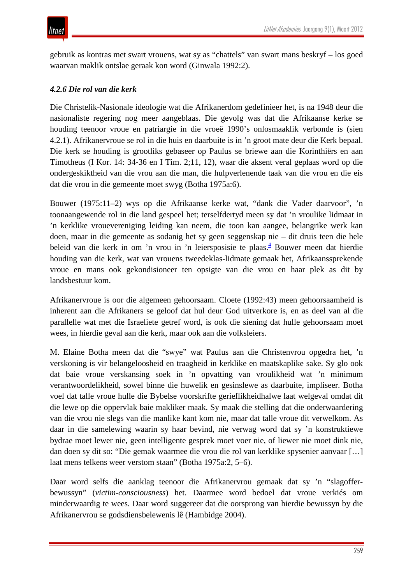gebruik as kontras met swart vrouens, wat sy as "chattels" van swart mans beskryf – los goed waarvan maklik ontslae geraak kon word (Ginwala 1992:2).

## *4.2.6 Die rol van die kerk*

Die Christelik-Nasionale ideologie wat die Afrikanerdom gedefinieer het, is na 1948 deur die nasionaliste regering nog meer aangeblaas. Die gevolg was dat die Afrikaanse kerke se houding teenoor vroue en patriargie in die vroeë 1990's onlosmaaklik verbonde is (sien 4.2.1). Afrikanervroue se rol in die huis en daarbuite is in 'n groot mate deur die Kerk bepaal. Die kerk se houding is grootliks gebaseer op Paulus se briewe aan die Korinthiërs en aan Timotheus (I Kor. 14: 34-36 en I Tim. 2;11, 12), waar die aksent veral geplaas word op die ondergeskiktheid van die vrou aan die man, die hulpverlenende taak van die vrou en die eis dat die vrou in die gemeente moet swyg (Botha 1975a:6).

Bouwer (1975:11–2) wys op die Afrikaanse kerke wat, "dank die Vader daarvoor", 'n toonaangewende rol in die land gespeel het; terselfdertyd meen sy dat 'n vroulike lidmaat in 'n kerklike vrouevereniging leiding kan neem, die toon kan aangee, belangrike werk kan doen, maar in die gemeente as sodanig het sy geen seggenskap nie – dit druis teen die hele beleid van die kerk in om 'n vrou in 'n leiersposisie te plaas.<sup>4</sup> Bouwer meen dat hierdie houding van die kerk, wat van vrouens tweedeklas-lidmate gemaak het, Afrikaanssprekende vroue en mans ook gekondisioneer ten opsigte van die vrou en haar plek as dit by landsbestuur kom.

Afrikanervroue is oor die algemeen gehoorsaam. Cloete (1992:43) meen gehoorsaamheid is inherent aan die Afrikaners se geloof dat hul deur God uitverkore is, en as deel van al die parallelle wat met die Israeliete getref word, is ook die siening dat hulle gehoorsaam moet wees, in hierdie geval aan die kerk, maar ook aan die volksleiers.

M. Elaine Botha meen dat die "swye" wat Paulus aan die Christenvrou opgedra het, 'n verskoning is vir belangeloosheid en traagheid in kerklike en maatskaplike sake. Sy glo ook dat baie vroue verskansing soek in 'n opvatting van vroulikheid wat 'n minimum verantwoordelikheid, sowel binne die huwelik en gesinslewe as daarbuite, impliseer. Botha voel dat talle vroue hulle die Bybelse voorskrifte gerieflikheidhalwe laat welgeval omdat dit die lewe op die oppervlak baie makliker maak. Sy maak die stelling dat die onderwaardering van die vrou nie slegs van die manlike kant kom nie, maar dat talle vroue dit verwelkom. As daar in die samelewing waarin sy haar bevind, nie verwag word dat sy 'n konstruktiewe bydrae moet lewer nie, geen intelligente gesprek moet voer nie, of liewer nie moet dink nie, dan doen sy dit so: "Die gemak waarmee die vrou die rol van kerklike spysenier aanvaar […] laat mens telkens weer verstom staan" (Botha 1975a:2, 5–6).

Daar word selfs die aanklag teenoor die Afrikanervrou gemaak dat sy 'n "slagofferbewussyn" (*victim-consciousness*) het. Daarmee word bedoel dat vroue verkiés om minderwaardig te wees. Daar word suggereer dat die oorsprong van hierdie bewussyn by die Afrikanervrou se godsdiensbelewenis lê (Hambidge 2004).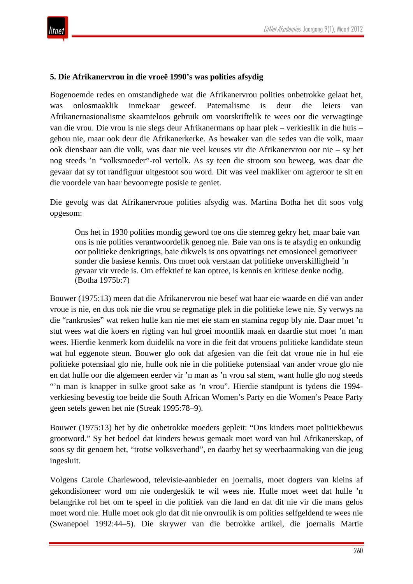#### **5. Die Afrikanervrou in die vroeë 1990's was polities afsydig**

Bogenoemde redes en omstandighede wat die Afrikanervrou polities onbetrokke gelaat het, was onlosmaaklik inmekaar geweef. Paternalisme is deur die leiers van Afrikanernasionalisme skaamteloos gebruik om voorskriftelik te wees oor die verwagtinge van die vrou. Die vrou is nie slegs deur Afrikanermans op haar plek – verkieslik in die huis – gehou nie, maar ook deur die Afrikanerkerke. As bewaker van die sedes van die volk, maar ook diensbaar aan die volk, was daar nie veel keuses vir die Afrikanervrou oor nie – sy het nog steeds 'n "volksmoeder"-rol vertolk. As sy teen die stroom sou beweeg, was daar die gevaar dat sy tot randfiguur uitgestoot sou word. Dit was veel makliker om agteroor te sit en die voordele van haar bevoorregte posisie te geniet.

Die gevolg was dat Afrikanervroue polities afsydig was. Martina Botha het dit soos volg opgesom:

Ons het in 1930 polities mondig geword toe ons die stemreg gekry het, maar baie van ons is nie polities verantwoordelik genoeg nie. Baie van ons is te afsydig en onkundig oor politieke denkrigtings, baie dikwels is ons opvattings net emosioneel gemotiveer sonder die basiese kennis. Ons moet ook verstaan dat politieke onverskilligheid 'n gevaar vir vrede is. Om effektief te kan optree, is kennis en kritiese denke nodig. (Botha 1975b:7)

Bouwer (1975:13) meen dat die Afrikanervrou nie besef wat haar eie waarde en dié van ander vroue is nie, en dus ook nie die vrou se regmatige plek in die politieke lewe nie. Sy verwys na die "rankrosies" wat reken hulle kan nie met eie stam en stamina regop bly nie. Daar moet 'n stut wees wat die koers en rigting van hul groei moontlik maak en daardie stut moet 'n man wees. Hierdie kenmerk kom duidelik na vore in die feit dat vrouens politieke kandidate steun wat hul eggenote steun. Bouwer glo ook dat afgesien van die feit dat vroue nie in hul eie politieke potensiaal glo nie, hulle ook nie in die politieke potensiaal van ander vroue glo nie en dat hulle oor die algemeen eerder vir 'n man as 'n vrou sal stem, want hulle glo nog steeds "'n man is knapper in sulke groot sake as 'n vrou". Hierdie standpunt is tydens die 1994verkiesing bevestig toe beide die South African Women's Party en die Women's Peace Party geen setels gewen het nie (Streak 1995:78–9).

Bouwer (1975:13) het by die onbetrokke moeders gepleit: "Ons kinders moet politiekbewus grootword." Sy het bedoel dat kinders bewus gemaak moet word van hul Afrikanerskap, of soos sy dit genoem het, "trotse volksverband", en daarby het sy weerbaarmaking van die jeug ingesluit.

Volgens Carole Charlewood, televisie-aanbieder en joernalis, moet dogters van kleins af gekondisioneer word om nie ondergeskik te wil wees nie. Hulle moet weet dat hulle 'n belangrike rol het om te speel in die politiek van die land en dat dit nie vir die mans gelos moet word nie. Hulle moet ook glo dat dit nie onvroulik is om polities selfgeldend te wees nie (Swanepoel 1992:44–5). Die skrywer van die betrokke artikel, die joernalis Martie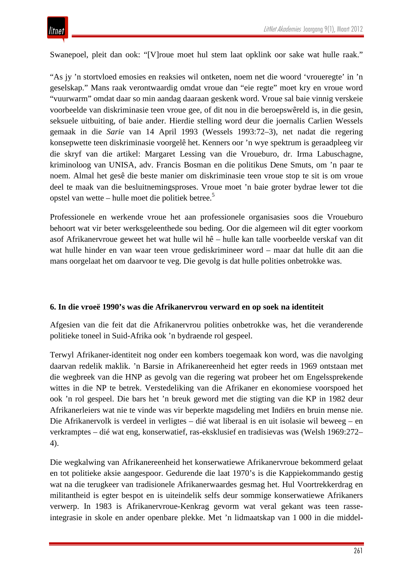Swanepoel, pleit dan ook: "[V]roue moet hul stem laat opklink oor sake wat hulle raak."

"As jy 'n stortvloed emosies en reaksies wil ontketen, noem net die woord 'vroueregte' in 'n geselskap." Mans raak verontwaardig omdat vroue dan "eie regte" moet kry en vroue word "vuurwarm" omdat daar so min aandag daaraan geskenk word. Vroue sal baie vinnig verskeie voorbeelde van diskriminasie teen vroue gee, of dit nou in die beroepswêreld is, in die gesin, seksuele uitbuiting, of baie ander. Hierdie stelling word deur die joernalis Carlien Wessels gemaak in die *Sarie* van 14 April 1993 (Wessels 1993:72–3), net nadat die regering konsepwette teen diskriminasie voorgelê het. Kenners oor 'n wye spektrum is geraadpleeg vir die skryf van die artikel: Margaret Lessing van die Vroueburo, dr. Irma Labuschagne, kriminoloog van UNISA, adv. Francis Bosman en die politikus Dene Smuts, om 'n paar te noem. Almal het gesê die beste manier om diskriminasie teen vroue stop te sit is om vroue deel te maak van die besluitnemingsproses. Vroue moet 'n baie groter bydrae lewer tot die opstel van wette – hulle moet die politiek betree.<sup>5</sup>

Professionele en werkende vroue het aan professionele organisasies soos die Vroueburo behoort wat vir beter werksgeleenthede sou beding. Oor die algemeen wil dit egter voorkom asof Afrikanervroue geweet het wat hulle wil hê – hulle kan talle voorbeelde verskaf van dit wat hulle hinder en van waar teen vroue gediskrimineer word – maar dat hulle dit aan die mans oorgelaat het om daarvoor te veg. Die gevolg is dat hulle polities onbetrokke was.

#### **6. In die vroeë 1990's was die Afrikanervrou verward en op soek na identiteit**

Afgesien van die feit dat die Afrikanervrou polities onbetrokke was, het die veranderende politieke toneel in Suid-Afrika ook 'n bydraende rol gespeel.

Terwyl Afrikaner-identiteit nog onder een kombers toegemaak kon word, was die navolging daarvan redelik maklik. 'n Barsie in Afrikanereenheid het egter reeds in 1969 ontstaan met die wegbreek van die HNP as gevolg van die regering wat probeer het om Engelssprekende wittes in die NP te betrek. Verstedeliking van die Afrikaner en ekonomiese voorspoed het ook 'n rol gespeel. Die bars het 'n breuk geword met die stigting van die KP in 1982 deur Afrikanerleiers wat nie te vinde was vir beperkte magsdeling met Indiërs en bruin mense nie. Die Afrikanervolk is verdeel in verligtes – dié wat liberaal is en uit isolasie wil beweeg – en verkramptes – dié wat eng, konserwatief, ras-eksklusief en tradisievas was (Welsh 1969:272– 4).

Die wegkalwing van Afrikanereenheid het konserwatiewe Afrikanervroue bekommerd gelaat en tot politieke aksie aangespoor. Gedurende die laat 1970's is die Kappiekommando gestig wat na die terugkeer van tradisionele Afrikanerwaardes gesmag het. Hul Voortrekkerdrag en militantheid is egter bespot en is uiteindelik selfs deur sommige konserwatiewe Afrikaners verwerp. In 1983 is Afrikanervroue-Kenkrag gevorm wat veral gekant was teen rasseintegrasie in skole en ander openbare plekke. Met 'n lidmaatskap van 1 000 in die middel-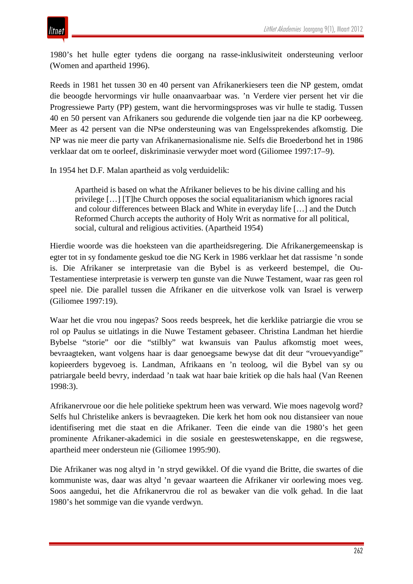1980's het hulle egter tydens die oorgang na rasse-inklusiwiteit ondersteuning verloor (Women and apartheid 1996).

Reeds in 1981 het tussen 30 en 40 persent van Afrikanerkiesers teen die NP gestem, omdat die beoogde hervormings vir hulle onaanvaarbaar was. 'n Verdere vier persent het vir die Progressiewe Party (PP) gestem, want die hervormingsproses was vir hulle te stadig. Tussen 40 en 50 persent van Afrikaners sou gedurende die volgende tien jaar na die KP oorbeweeg. Meer as 42 persent van die NPse ondersteuning was van Engelssprekendes afkomstig. Die NP was nie meer die party van Afrikanernasionalisme nie. Selfs die Broederbond het in 1986 verklaar dat om te oorleef, diskriminasie verwyder moet word (Giliomee 1997:17–9).

In 1954 het D.F. Malan apartheid as volg verduidelik:

Apartheid is based on what the Afrikaner believes to be his divine calling and his privilege […] [T]he Church opposes the social equalitarianism which ignores racial and colour differences between Black and White in everyday life […] and the Dutch Reformed Church accepts the authority of Holy Writ as normative for all political, social, cultural and religious activities. (Apartheid 1954)

Hierdie woorde was die hoeksteen van die apartheidsregering. Die Afrikanergemeenskap is egter tot in sy fondamente geskud toe die NG Kerk in 1986 verklaar het dat rassisme 'n sonde is. Die Afrikaner se interpretasie van die Bybel is as verkeerd bestempel, die Ou-Testamentiese interpretasie is verwerp ten gunste van die Nuwe Testament, waar ras geen rol speel nie. Die parallel tussen die Afrikaner en die uitverkose volk van Israel is verwerp (Giliomee 1997:19).

Waar het die vrou nou ingepas? Soos reeds bespreek, het die kerklike patriargie die vrou se rol op Paulus se uitlatings in die Nuwe Testament gebaseer. Christina Landman het hierdie Bybelse "storie" oor die "stilbly" wat kwansuis van Paulus afkomstig moet wees, bevraagteken, want volgens haar is daar genoegsame bewyse dat dit deur "vrouevyandige" kopieerders bygevoeg is. Landman, Afrikaans en 'n teoloog, wil die Bybel van sy ou patriargale beeld bevry, inderdaad 'n taak wat haar baie kritiek op die hals haal (Van Reenen 1998:3).

Afrikanervroue oor die hele politieke spektrum heen was verward. Wie moes nagevolg word? Selfs hul Christelike ankers is bevraagteken. Die kerk het hom ook nou distansieer van noue identifisering met die staat en die Afrikaner. Teen die einde van die 1980's het geen prominente Afrikaner-akademici in die sosiale en geesteswetenskappe, en die regswese, apartheid meer ondersteun nie (Giliomee 1995:90).

Die Afrikaner was nog altyd in 'n stryd gewikkel. Of die vyand die Britte, die swartes of die kommuniste was, daar was altyd 'n gevaar waarteen die Afrikaner vir oorlewing moes veg. Soos aangedui, het die Afrikanervrou die rol as bewaker van die volk gehad. In die laat 1980's het sommige van die vyande verdwyn.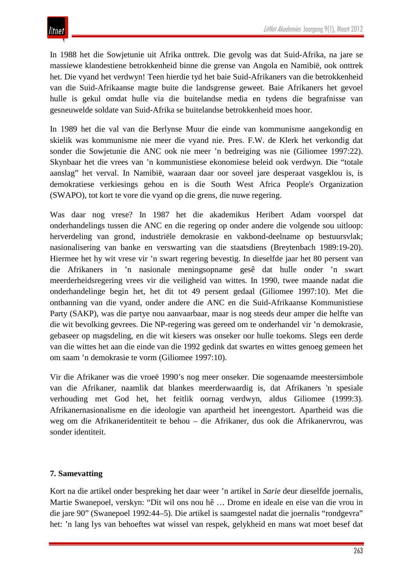In 1988 het die Sowjetunie uit Afrika onttrek. Die gevolg was dat Suid-Afrika, na jare se massiewe klandestiene betrokkenheid binne die grense van Angola en Namibië, ook onttrek het. Die vyand het verdwyn! Teen hierdie tyd het baie Suid-Afrikaners van die betrokkenheid van die Suid-Afrikaanse magte buite die landsgrense geweet. Baie Afrikaners het gevoel hulle is gekul omdat hulle via die buitelandse media en tydens die begrafnisse van gesneuwelde soldate van Suid-Afrika se buitelandse betrokkenheid moes hoor.

In 1989 het die val van die Berlynse Muur die einde van kommunisme aangekondig en skielik was kommunisme nie meer die vyand nie. Pres. F.W. de Klerk het verkondig dat sonder die Sowjetunie die ANC ook nie meer 'n bedreiging was nie (Giliomee 1997:22). Skynbaar het die vrees van 'n kommunistiese ekonomiese beleid ook verdwyn. Die "totale aanslag" het verval. In Namibië, waaraan daar oor soveel jare desperaat vasgeklou is, is demokratiese verkiesings gehou en is die South West Africa People's Organization (SWAPO), tot kort te vore die vyand op die grens, die nuwe regering.

Was daar nog vrese? In 1987 het die akademikus Heribert Adam voorspel dat onderhandelings tussen die ANC en die regering op onder andere die volgende sou uitloop: herverdeling van grond, industriële demokrasie en vakbond-deelname op bestuursvlak; nasionalisering van banke en verswarting van die staatsdiens (Breytenbach 1989:19-20). Hiermee het hy wit vrese vir 'n swart regering bevestig. In dieselfde jaar het 80 persent van die Afrikaners in 'n nasionale meningsopname gesê dat hulle onder 'n swart meerderheidsregering vrees vir die veiligheid van wittes. In 1990, twee maande nadat die onderhandelinge begin het, het dit tot 49 persent gedaal (Giliomee 1997:10). Met die ontbanning van die vyand, onder andere die ANC en die Suid-Afrikaanse Kommunistiese Party (SAKP), was die partye nou aanvaarbaar, maar is nog steeds deur amper die helfte van die wit bevolking gevrees. Die NP-regering was gereed om te onderhandel vir 'n demokrasie, gebaseer op magsdeling, en die wit kiesers was onseker oor hulle toekoms. Slegs een derde van die wittes het aan die einde van die 1992 gedink dat swartes en wittes genoeg gemeen het om saam 'n demokrasie te vorm (Giliomee 1997:10).

Vir die Afrikaner was die vroeë 1990's nog meer onseker. Die sogenaamde meestersimbole van die Afrikaner, naamlik dat blankes meerderwaardig is, dat Afrikaners 'n spesiale verhouding met God het, het feitlik oornag verdwyn, aldus Giliomee (1999:3). Afrikanernasionalisme en die ideologie van apartheid het ineengestort. Apartheid was die weg om die Afrikaneridentiteit te behou – die Afrikaner, dus ook die Afrikanervrou, was sonder identiteit.

## **7. Samevatting**

Kort na die artikel onder bespreking het daar weer 'n artikel in *Sarie* deur dieselfde joernalis, Martie Swanepoel, verskyn: "Dit wil ons nou hê … Drome en ideale en eise van die vrou in die jare 90" (Swanepoel 1992:44–5). Die artikel is saamgestel nadat die joernalis "rondgevra" het: 'n lang lys van behoeftes wat wissel van respek, gelykheid en mans wat moet besef dat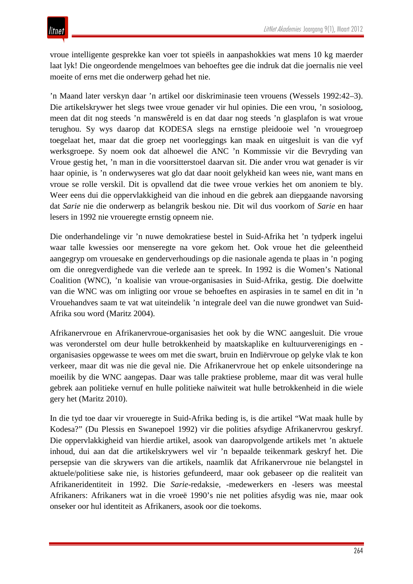vroue intelligente gesprekke kan voer tot spieëls in aanpashokkies wat mens 10 kg maerder laat lyk! Die ongeordende mengelmoes van behoeftes gee die indruk dat die joernalis nie veel moeite of erns met die onderwerp gehad het nie.

'n Maand later verskyn daar 'n artikel oor diskriminasie teen vrouens (Wessels 1992:42–3). Die artikelskrywer het slegs twee vroue genader vir hul opinies. Die een vrou, 'n sosioloog, meen dat dit nog steeds 'n manswêreld is en dat daar nog steeds 'n glasplafon is wat vroue terughou. Sy wys daarop dat KODESA slegs na ernstige pleidooie wel 'n vrouegroep toegelaat het, maar dat die groep net voorleggings kan maak en uitgesluit is van die vyf werksgroepe. Sy noem ook dat alhoewel die ANC 'n Kommissie vir die Bevryding van Vroue gestig het, 'n man in die voorsitterstoel daarvan sit. Die ander vrou wat genader is vir haar opinie, is 'n onderwyseres wat glo dat daar nooit gelykheid kan wees nie, want mans en vroue se rolle verskil. Dit is opvallend dat die twee vroue verkies het om anoniem te bly. Weer eens dui die oppervlakkigheid van die inhoud en die gebrek aan diepgaande navorsing dat *Sarie* nie die onderwerp as belangrik beskou nie. Dit wil dus voorkom of *Sarie* en haar lesers in 1992 nie vroueregte ernstig opneem nie.

Die onderhandelinge vir 'n nuwe demokratiese bestel in Suid-Afrika het 'n tydperk ingelui waar talle kwessies oor menseregte na vore gekom het. Ook vroue het die geleentheid aangegryp om vrouesake en genderverhoudings op die nasionale agenda te plaas in 'n poging om die onregverdighede van die verlede aan te spreek. In 1992 is die Women's National Coalition (WNC), 'n koalisie van vroue-organisasies in Suid-Afrika, gestig. Die doelwitte van die WNC was om inligting oor vroue se behoeftes en aspirasies in te samel en dit in 'n Vrouehandves saam te vat wat uiteindelik 'n integrale deel van die nuwe grondwet van Suid-Afrika sou word (Maritz 2004).

Afrikanervroue en Afrikanervroue-organisasies het ook by die WNC aangesluit. Die vroue was veronderstel om deur hulle betrokkenheid by maatskaplike en kultuurverenigings en organisasies opgewasse te wees om met die swart, bruin en Indiërvroue op gelyke vlak te kon verkeer, maar dit was nie die geval nie. Die Afrikanervroue het op enkele uitsonderinge na moeilik by die WNC aangepas. Daar was talle praktiese probleme, maar dit was veral hulle gebrek aan politieke vernuf en hulle politieke naïwiteit wat hulle betrokkenheid in die wiele gery het (Maritz 2010).

In die tyd toe daar vir vroueregte in Suid-Afrika beding is, is die artikel "Wat maak hulle by Kodesa?" (Du Plessis en Swanepoel 1992) vir die polities afsydige Afrikanervrou geskryf. Die oppervlakkigheid van hierdie artikel, asook van daaropvolgende artikels met 'n aktuele inhoud, dui aan dat die artikelskrywers wel vir 'n bepaalde teikenmark geskryf het. Die persepsie van die skrywers van die artikels, naamlik dat Afrikanervroue nie belangstel in aktuele/politiese sake nie, is histories gefundeerd, maar ook gebaseer op die realiteit van Afrikaneridentiteit in 1992. Die *Sarie*-redaksie, -medewerkers en -lesers was meestal Afrikaners: Afrikaners wat in die vroeë 1990's nie net polities afsydig was nie, maar ook onseker oor hul identiteit as Afrikaners, asook oor die toekoms.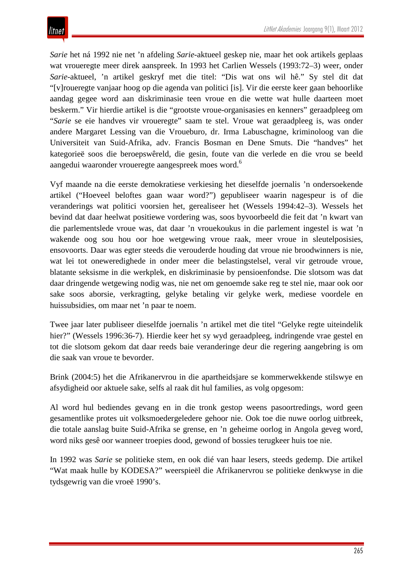*Sarie* het ná 1992 nie net 'n afdeling *Sarie*-aktueel geskep nie, maar het ook artikels geplaas wat vroueregte meer direk aanspreek. In 1993 het Carlien Wessels (1993:72–3) weer, onder *Sarie*-aktueel, 'n artikel geskryf met die titel: "Dis wat ons wil hê." Sy stel dit dat "[v]roueregte vanjaar hoog op die agenda van politici [is]. Vir die eerste keer gaan behoorlike aandag gegee word aan diskriminasie teen vroue en die wette wat hulle daarteen moet beskerm." Vir hierdie artikel is die "grootste vroue-organisasies en kenners" geraadpleeg om "*Sarie* se eie handves vir vroueregte" saam te stel. Vroue wat geraadpleeg is, was onder andere Margaret Lessing van die Vroueburo, dr. Irma Labuschagne, kriminoloog van die Universiteit van Suid-Afrika, adv. Francis Bosman en Dene Smuts. Die "handves" het kategorieë soos die beroepswêreld, die gesin, foute van die verlede en die vrou se beeld aangedui waaronder vroueregte aangespreek moes word.<sup>6</sup>

Vyf maande na die eerste demokratiese verkiesing het dieselfde joernalis 'n ondersoekende artikel ("Hoeveel beloftes gaan waar word?") gepubliseer waarin nagespeur is of die veranderings wat politici voorsien het, gerealiseer het (Wessels 1994:42–3). Wessels het bevind dat daar heelwat positiewe vordering was, soos byvoorbeeld die feit dat 'n kwart van die parlementslede vroue was, dat daar 'n vrouekoukus in die parlement ingestel is wat 'n wakende oog sou hou oor hoe wetgewing vroue raak, meer vroue in sleutelposisies, ensovoorts. Daar was egter steeds die verouderde houding dat vroue nie broodwinners is nie, wat lei tot oneweredighede in onder meer die belastingstelsel, veral vir getroude vroue, blatante seksisme in die werkplek, en diskriminasie by pensioenfondse. Die slotsom was dat daar dringende wetgewing nodig was, nie net om genoemde sake reg te stel nie, maar ook oor sake soos aborsie, verkragting, gelyke betaling vir gelyke werk, mediese voordele en huissubsidies, om maar net 'n paar te noem.

Twee jaar later publiseer dieselfde joernalis 'n artikel met die titel "Gelyke regte uiteindelik hier?" (Wessels 1996:36-7). Hierdie keer het sy wyd geraadpleeg, indringende vrae gestel en tot die slotsom gekom dat daar reeds baie veranderinge deur die regering aangebring is om die saak van vroue te bevorder.

Brink (2004:5) het die Afrikanervrou in die apartheidsjare se kommerwekkende stilswye en afsydigheid oor aktuele sake, selfs al raak dit hul families, as volg opgesom:

Al word hul bediendes gevang en in die tronk gestop weens pasoortredings, word geen gesamentlike protes uit volksmoedergeledere gehoor nie. Ook toe die nuwe oorlog uitbreek, die totale aanslag buite Suid-Afrika se grense, en 'n geheime oorlog in Angola geveg word, word niks gesê oor wanneer troepies dood, gewond of bossies terugkeer huis toe nie.

In 1992 was *Sarie* se politieke stem, en ook dié van haar lesers, steeds gedemp. Die artikel "Wat maak hulle by KODESA?" weerspieël die Afrikanervrou se politieke denkwyse in die tydsgewrig van die vroeë 1990's.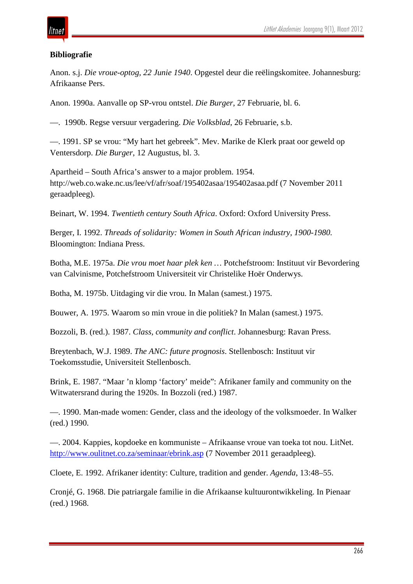## itnet

## **Bibliografie**

Anon. s.j. *Die vroue-optog, 22 Junie 1940*. Opgestel deur die reëlingskomitee. Johannesburg: Afrikaanse Pers.

Anon. 1990a. Aanvalle op SP-vrou ontstel. *Die Burger*, 27 Februarie, bl. 6.

—. 1990b. Regse versuur vergadering. *Die Volksblad*, 26 Februarie, s.b.

—. 1991. SP se vrou: "My hart het gebreek". Mev. Marike de Klerk praat oor geweld op Ventersdorp. *Die Burger*, 12 Augustus, bl. 3.

Apartheid – South Africa's answer to a major problem. 1954. http://web.co.wake.nc.us/lee/vf/afr/soaf/195402asaa/195402asaa.pdf (7 November 2011 geraadpleeg).

Beinart, W. 1994. *Twentieth century South Africa*. Oxford: Oxford University Press.

Berger, I. 1992. *Threads of solidarity: Women in South African industry, 1900-1980.*  Bloomington: Indiana Press.

Botha, M.E. 1975a. *Die vrou moet haar plek ken …* Potchefstroom: Instituut vir Bevordering van Calvinisme, Potchefstroom Universiteit vir Christelike Hoër Onderwys.

Botha, M. 1975b. Uitdaging vir die vrou. In Malan (samest.) 1975.

Bouwer, A. 1975. Waarom so min vroue in die politiek? In Malan (samest.) 1975.

Bozzoli, B. (red.). 1987. *Class, community and conflict*. Johannesburg: Ravan Press.

Breytenbach, W.J. 1989. *The ANC: future prognosis*. Stellenbosch: Instituut vir Toekomsstudie, Universiteit Stellenbosch.

Brink, E. 1987. "Maar 'n klomp 'factory' meide": Afrikaner family and community on the Witwatersrand during the 1920s. In Bozzoli (red.) 1987.

—. 1990. Man-made women: Gender, class and the ideology of the volksmoeder. In Walker (red.) 1990.

—. 2004. Kappies, kopdoeke en kommuniste – Afrikaanse vroue van toeka tot nou. LitNet. <http://www.oulitnet.co.za/seminaar/ebrink.asp> (7 November 2011 geraadpleeg).

Cloete, E. 1992. Afrikaner identity: Culture, tradition and gender. *Agenda*, 13:48–55.

Cronjé, G. 1968. Die patriargale familie in die Afrikaanse kultuurontwikkeling. In Pienaar (red.) 1968.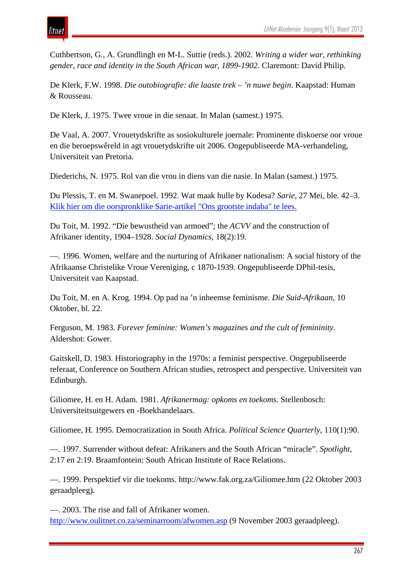Cuthbertson, G., A. Grundlingh en M-L. Suttie (reds.). 2002. *Writing a wider war, rethinking gender, race and identity in the South African war, 1899-1902*. Claremont: David Philip.

De Klerk, F.W. 1998. *Die outobiografie: die laaste trek – 'n nuwe begin*. Kaapstad: Human & Rousseau.

De Klerk, J. 1975. Twee vroue in die senaat. In Malan (samest.) 1975.

De Vaal, A. 2007. Vrouetydskrifte as sosiokulturele joernale: Prominente diskoerse oor vroue en die beroepswêreld in agt vrouetydskrifte uit 2006. Ongepubliseerde MA-verhandeling, Universiteit van Pretoria.

Diederichs, N. 1975. Rol van die vrou in diens van die nasie. In Malan (samest.) 1975.

Du Plessis, T. en M. Swanepoel. 1992. Wat maak hulle by Kodesa? *Sarie*, 27 Mei, ble. 42–3. [Klik hier om die oorspronklike Sarie-artikel "Ons grootste indaba" te lees.](http://www.litnet.co.za/assets/images/la/kodesa.jpg)

Du Toit, M. 1992. "Die bewustheid van armoed"; the *ACVV* and the construction of Afrikaner identity, 1904–1928. *Social Dynamics*, 18(2):19.

—. 1996. Women, welfare and the nurturing of Afrikaner nationalism: A social history of the Afrikaanse Christelike Vroue Vereniging, c 1870-1939. Ongepubliseerde DPhil-tesis, Universiteit van Kaapstad.

Du Toit, M. en A. Krog. 1994. Op pad na 'n inheemse feminisme. *Die Suid-Afrikaan*, 10 Oktober, bl. 22.

Ferguson, M. 1983. *Forever feminine: Women's magazines and the cult of femininity*. Aldershot: Gower.

Gaitskell, D. 1983. Historiography in the 1970s: a feminist perspective. Ongepubliseerde referaat, Conference on Southern African studies, retrospect and perspective. Universiteit van Edinburgh.

Giliomee, H. en H. Adam. 1981. *Afrikanermag: opkoms en toekoms*. Stellenbosch: Universiteitsuitgewers en -Boekhandelaars.

Giliomee, H. 1995. Democratization in South Africa. *Political Science Quarterly*, 110(1):90.

—. 1997. Surrender without defeat: Afrikaners and the South African "miracle". *Spotlight*, 2:17 en 2:19. Braamfontein: South African Institute of Race Relations.

—. 1999. Perspektief vir die toekoms. http://www.fak.org.za/Giliomee.htm (22 Oktober 2003 geraadpleeg).

—. 2003. The rise and fall of Afrikaner women. <http://www.oulitnet.co.za/seminarroom/afwomen.asp> (9 November 2003 geraadpleeg).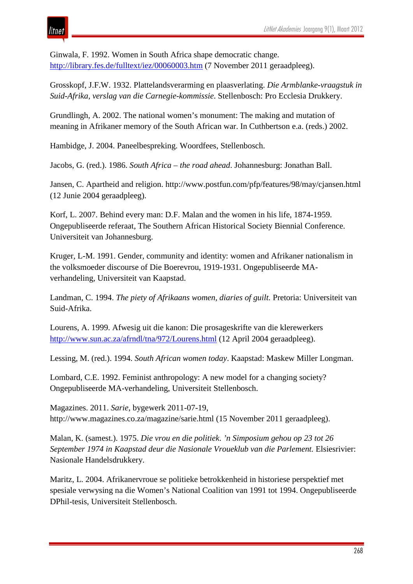itnet

Ginwala, F. 1992. Women in South Africa shape democratic change. <http://library.fes.de/fulltext/iez/00060003.htm> (7 November 2011 geraadpleeg).

Grosskopf, J.F.W. 1932. Plattelandsverarming en plaasverlating. *Die Armblanke-vraagstuk in Suid-Afrika, verslag van die Carnegie-kommissie*. Stellenbosch: Pro Ecclesia Drukkery.

Grundlingh, A. 2002. The national women's monument: The making and mutation of meaning in Afrikaner memory of the South African war. In Cuthbertson e.a. (reds.) 2002.

Hambidge, J. 2004. Paneelbespreking. Woordfees, Stellenbosch.

Jacobs, G. (red.). 1986. *South Africa – the road ahead*. Johannesburg: Jonathan Ball.

Jansen, C. Apartheid and religion. http://www.postfun.com/pfp/features/98/may/cjansen.html (12 Junie 2004 geraadpleeg).

Korf, L. 2007. Behind every man: D.F. Malan and the women in his life, 1874-1959. Ongepubliseerde referaat, The Southern African Historical Society Biennial Conference. Universiteit van Johannesburg.

Kruger, L-M. 1991. Gender, community and identity: women and Afrikaner nationalism in the volksmoeder discourse of Die Boerevrou, 1919-1931. Ongepubliseerde MAverhandeling, Universiteit van Kaapstad.

Landman, C. 1994. *The piety of Afrikaans women, diaries of guilt.* Pretoria: Universiteit van Suid-Afrika.

Lourens, A. 1999. Afwesig uit die kanon: Die prosageskrifte van die klerewerkers <http://www.sun.ac.za/afrndl/tna/972/Lourens.html> (12 April 2004 geraadpleeg).

Lessing, M. (red.). 1994. *South African women today*. Kaapstad: Maskew Miller Longman.

Lombard, C.E. 1992. Feminist anthropology: A new model for a changing society? Ongepubliseerde MA-verhandeling, Universiteit Stellenbosch.

Magazines. 2011. *Sarie*, bygewerk 2011-07-19, http://www.magazines.co.za/magazine/sarie.html (15 November 2011 geraadpleeg).

Malan, K. (samest.). 1975. *Die vrou en die politiek*. *'n Simposium gehou op 23 tot 26 September 1974 in Kaapstad deur die Nasionale Vroueklub van die Parlement.* Elsiesrivier: Nasionale Handelsdrukkery.

Maritz, L. 2004. Afrikanervroue se politieke betrokkenheid in historiese perspektief met spesiale verwysing na die Women's National Coalition van 1991 tot 1994. Ongepubliseerde DPhil-tesis, Universiteit Stellenbosch.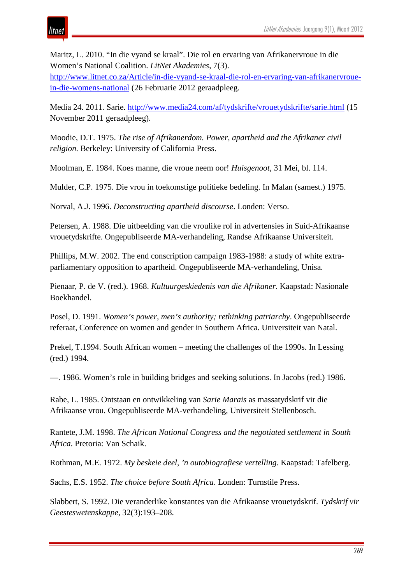Maritz, L. 2010. "In die vyand se kraal". Die rol en ervaring van Afrikanervroue in die Women's National Coalition. *LitNet Akademies*, 7(3).

[http://www.litnet.co.za/Article/in-die-vyand-se-kraal-die-rol-en-ervaring-van-afrikanervroue](http://www.litnet.co.za/Article/in-die-vyand-se-kraal-die-rol-en-ervaring-van-afrikanervroue-in-die-womens-national)[in-die-womens-national](http://www.litnet.co.za/Article/in-die-vyand-se-kraal-die-rol-en-ervaring-van-afrikanervroue-in-die-womens-national) (26 Februarie 2012 geraadpleeg.

Media 24. 2011. Sarie.<http://www.media24.com/af/tydskrifte/vrouetydskrifte/sarie.html> (15 November 2011 geraadpleeg).

Moodie, D.T. 1975. *The rise of Afrikanerdom. Power, apartheid and the Afrikaner civil religion.* Berkeley: University of California Press.

Moolman, E. 1984. Koes manne, die vroue neem oor! *Huisgenoot*, 31 Mei, bl. 114.

Mulder, C.P. 1975. Die vrou in toekomstige politieke bedeling. In Malan (samest.) 1975.

Norval, A.J. 1996. *Deconstructing apartheid discourse*. Londen: Verso.

Petersen, A. 1988. Die uitbeelding van die vroulike rol in advertensies in Suid-Afrikaanse vrouetydskrifte. Ongepubliseerde MA-verhandeling, Randse Afrikaanse Universiteit.

Phillips, M.W. 2002. The end conscription campaign 1983-1988: a study of white extraparliamentary opposition to apartheid. Ongepubliseerde MA-verhandeling, Unisa.

Pienaar, P. de V. (red.). 1968. *Kultuurgeskiedenis van die Afrikaner*. Kaapstad: Nasionale Boekhandel.

Posel, D. 1991. *Women's power, men's authority; rethinking patriarchy*. Ongepubliseerde referaat, Conference on women and gender in Southern Africa. Universiteit van Natal.

Prekel, T.1994. South African women – meeting the challenges of the 1990s. In Lessing (red.) 1994.

—. 1986. Women's role in building bridges and seeking solutions. In Jacobs (red.) 1986.

Rabe, L. 1985. Ontstaan en ontwikkeling van *Sarie Marais* as massatydskrif vir die Afrikaanse vrou. Ongepubliseerde MA-verhandeling, Universiteit Stellenbosch.

Rantete*,* J.M. 1998. *The African National Congress and the negotiated settlement in South Africa*. Pretoria: Van Schaik.

Rothman, M.E. 1972. *My beskeie deel, 'n outobiografiese vertelling*. Kaapstad: Tafelberg.

Sachs, E.S. 1952. *The choice before South Africa*. Londen: Turnstile Press.

Slabbert, S. 1992. Die veranderlike konstantes van die Afrikaanse vrouetydskrif. *Tydskrif vir Geesteswetenskappe*, 32(3):193–208.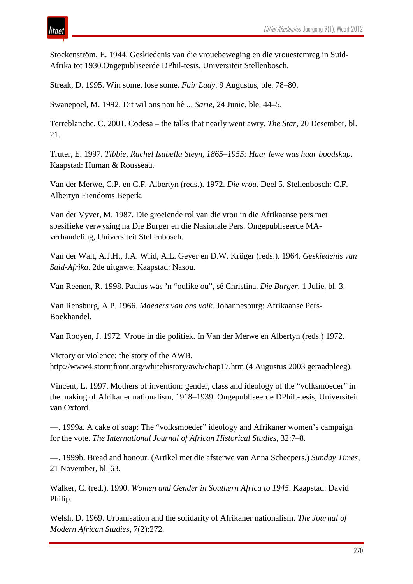

Stockenström, E. 1944. Geskiedenis van die vrouebeweging en die vrouestemreg in Suid-Afrika tot 1930.Ongepubliseerde DPhil-tesis, Universiteit Stellenbosch.

Streak, D. 1995. Win some, lose some. *Fair Lady*. 9 Augustus, ble. 78–80.

Swanepoel, M. 1992. Dit wil ons nou hê ... *Sarie*, 24 Junie, ble. 44–5.

Terreblanche, C. 2001. Codesa – the talks that nearly went awry. *The Star*, 20 Desember, bl. 21.

Truter, E. 1997. *Tibbie, Rachel Isabella Steyn, 1865–1955: Haar lewe was haar boodskap*. Kaapstad: Human & Rousseau.

Van der Merwe, C.P. en C.F. Albertyn (reds.). 1972. *Die vrou*. Deel 5. Stellenbosch: C.F. Albertyn Eiendoms Beperk.

Van der Vyver, M. 1987. Die groeiende rol van die vrou in die Afrikaanse pers met spesifieke verwysing na Die Burger en die Nasionale Pers. Ongepubliseerde MAverhandeling, Universiteit Stellenbosch.

Van der Walt, A.J.H., J.A. Wiid, A.L. Geyer en D.W. Krüger (reds.). 1964. *Geskiedenis van Suid-Afrika*. 2de uitgawe. Kaapstad: Nasou.

Van Reenen, R. 1998. Paulus was 'n "oulike ou", sê Christina. *Die Burger*, 1 Julie, bl. 3.

Van Rensburg, A.P. 1966. *Moeders van ons volk*. Johannesburg: Afrikaanse Pers-Boekhandel.

Van Rooyen, J. 1972. Vroue in die politiek. In Van der Merwe en Albertyn (reds.) 1972.

Victory or violence: the story of the AWB. http://www4.stormfront.org/whitehistory/awb/chap17.htm (4 Augustus 2003 geraadpleeg).

Vincent, L. 1997. Mothers of invention: gender, class and ideology of the "volksmoeder" in the making of Afrikaner nationalism, 1918–1939*.* Ongepubliseerde DPhil.-tesis, Universiteit van Oxford.

—. 1999a. A cake of soap: The "volksmoeder" ideology and Afrikaner women's campaign for the vote. *The International Journal of African Historical Studies*, 32:7–8.

—. 1999b. Bread and honour. (Artikel met die afsterwe van Anna Scheepers.) *Sunday Times*, 21 November, bl. 63.

Walker, C. (red.). 1990. *Women and Gender in Southern Africa to 1945*. Kaapstad: David Philip.

Welsh, D. 1969. Urbanisation and the solidarity of Afrikaner nationalism. *The Journal of Modern African Studies*, 7(2):272.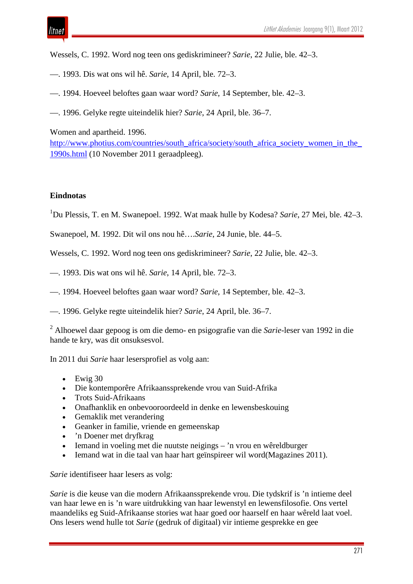Wessels, C. 1992. Word nog teen ons gediskrimineer? *Sarie*, 22 Julie, ble. 42–3.

- —. 1993. Dis wat ons wil hê. *Sarie*, 14 April, ble. 72–3.
- —. 1994. Hoeveel beloftes gaan waar word? *Sarie*, 14 September, ble. 42–3.
- —. 1996. Gelyke regte uiteindelik hier? *Sarie*, 24 April, ble. 36–7.

Women and apartheid. 1996.

http://www.photius.com/countries/south\_africa/society/south\_africa\_society\_women\_in\_the [1990s.html](http://www.photius.com/countries/south_africa/society/south_africa_society_women_in_the_1990s.html) (10 November 2011 geraadpleeg).

#### **Eindnotas**

itnet

1 Du Plessis, T. en M. Swanepoel. 1992. Wat maak hulle by Kodesa? *Sarie*, 27 Mei, ble. 42–3.

Swanepoel, M. 1992. Dit wil ons nou hê….*Sarie*, 24 Junie, ble. 44–5.

Wessels, C. 1992. Word nog teen ons gediskrimineer? *Sarie*, 22 Julie, ble. 42–3.

- —. 1993. Dis wat ons wil hê. *Sarie*, 14 April, ble. 72–3.
- —. 1994. Hoeveel beloftes gaan waar word? *Sarie*, 14 September, ble. 42–3.
- —. 1996. Gelyke regte uiteindelik hier? *Sarie*, 24 April, ble. 36–7.

<sup>2</sup> Alhoewel daar gepoog is om die demo- en psigografie van die *Sarie*-leser van 1992 in die hande te kry, was dit onsuksesvol.

In 2011 dui *Sarie* haar lesersprofiel as volg aan:

- $\bullet$  Ewig 30
- Die kontemporêre Afrikaanssprekende vrou van Suid-Afrika
- Trots Suid-Afrikaans
- Onafhanklik en onbevooroordeeld in denke en lewensbeskouing
- Gemaklik met verandering
- Geanker in familie, vriende en gemeenskap
- 'n Doener met dryfkrag
- Iemand in voeling met die nuutste neigings 'n vrou en wêreldburger
- Iemand wat in die taal van haar hart geïnspireer wil word(Magazines 2011).

*Sarie* identifiseer haar lesers as volg:

*Sarie* is die keuse van die modern Afrikaanssprekende vrou. Die tydskrif is 'n intieme deel van haar lewe en is 'n ware uitdrukking van haar lewenstyl en lewensfilosofie. Ons vertel maandeliks eg Suid-Afrikaanse stories wat haar goed oor haarself en haar wêreld laat voel. Ons lesers wend hulle tot *Sarie* (gedruk of digitaal) vir intieme gesprekke en gee